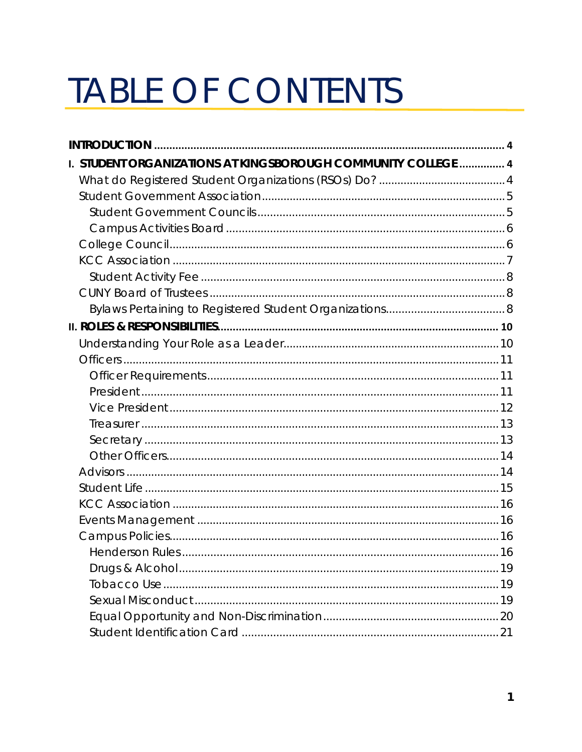# TABLE OF CONTENTS

| I. STUDENT ORGANIZATIONS AT KINGSBOROUGH COMMUNITY COLLEGE  4 |  |
|---------------------------------------------------------------|--|
|                                                               |  |
|                                                               |  |
|                                                               |  |
|                                                               |  |
|                                                               |  |
|                                                               |  |
|                                                               |  |
|                                                               |  |
|                                                               |  |
|                                                               |  |
|                                                               |  |
|                                                               |  |
|                                                               |  |
|                                                               |  |
|                                                               |  |
|                                                               |  |
|                                                               |  |
|                                                               |  |
|                                                               |  |
|                                                               |  |
|                                                               |  |
|                                                               |  |
|                                                               |  |
|                                                               |  |
|                                                               |  |
|                                                               |  |
|                                                               |  |
|                                                               |  |
|                                                               |  |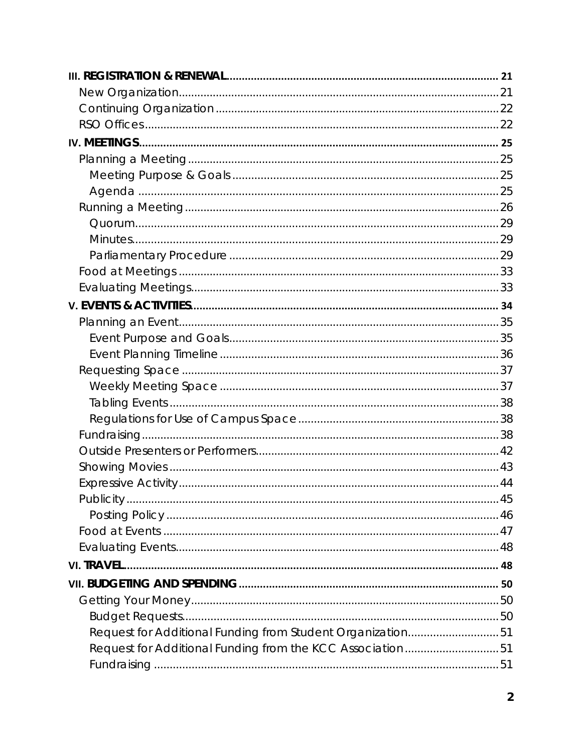| Request for Additional Funding from Student Organization51 |  |
|------------------------------------------------------------|--|
| Request for Additional Funding from the KCC Association51  |  |
|                                                            |  |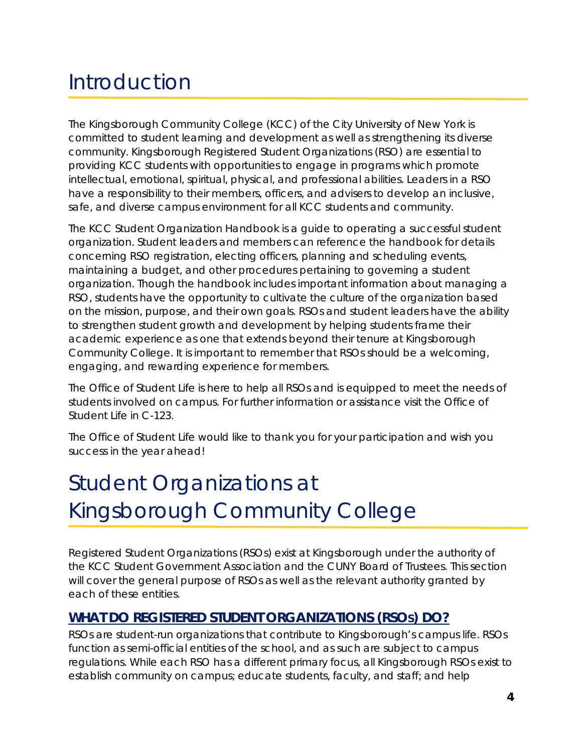# <span id="page-3-0"></span>Introduction

The Kingsborough Community College (KCC) of the City University of New York is committed to student learning and development as well as strengthening its diverse community. Kingsborough Registered Student Organizations (RSO) are essential to providing KCC students with opportunities to engage in programs which promote intellectual, emotional, spiritual, physical, and professional abilities. Leaders in a RSO have a responsibility to their members, officers, and advisers to develop an inclusive, safe, and diverse campus environment for all KCC students and community.

The KCC Student Organization Handbook is a guide to operating a successful student organization. Student leaders and members can reference the handbook for details concerning RSO registration, electing officers, planning and scheduling events, maintaining a budget, and other procedures pertaining to governing a student organization. Though the handbook includes important information about managing a RSO, students have the opportunity to cultivate the culture of the organization based on the mission, purpose, and their own goals. RSOs and student leaders have the ability to strengthen student growth and development by helping students frame their academic experience as one that extends beyond their tenure at Kingsborough Community College. It is important to remember that RSOs should be a welcoming, engaging, and rewarding experience for members.

The Office of Student Life is here to help all RSOs and is equipped to meet the needs of students involved on campus. For further information or assistance visit the Office of Student Life in C-123.

The Office of Student Life would like to thank you for your participation and wish you success in the year ahead!

# <span id="page-3-1"></span>Student Organizations at Kingsborough Community College

Registered Student Organizations (RSOs) exist at Kingsborough under the authority of the KCC Student Government Association and the CUNY Board of Trustees. This section will cover the general purpose of RSOs as well as the relevant authority granted by each of these entities.

# <span id="page-3-2"></span>**WHAT DO REGISTERED STUDENT ORGANIZATIONS (RSOS) DO?**

RSOs are student-run organizations that contribute to Kingsborough's campus life. RSOs function as semi-official entities of the school, and as such are subject to campus regulations. While each RSO has a different primary focus, all Kingsborough RSOs exist to establish community on campus; educate students, faculty, and staff; and help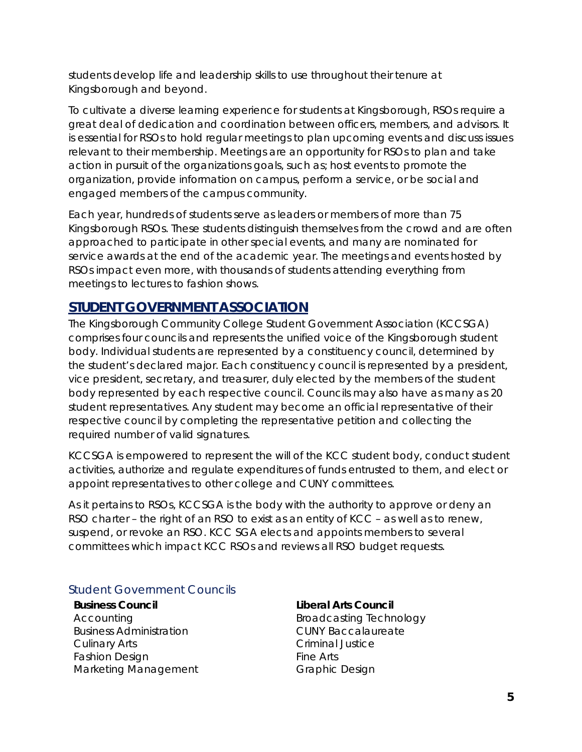students develop life and leadership skills to use throughout their tenure at Kingsborough and beyond.

To cultivate a diverse learning experience for students at Kingsborough, RSOs require a great deal of dedication and coordination between officers, members, and advisors. It is essential for RSOs to hold regular meetings to plan upcoming events and discuss issues relevant to their membership. Meetings are an opportunity for RSOs to plan and take action in pursuit of the organizations goals, such as; host events to promote the organization, provide information on campus, perform a service, or be social and engaged members of the campus community.

Each year, hundreds of students serve as leaders or members of more than 75 Kingsborough RSOs. These students distinguish themselves from the crowd and are often approached to participate in other special events, and many are nominated for service awards at the end of the academic year. The meetings and events hosted by RSOs impact even more, with thousands of students attending everything from meetings to lectures to fashion shows.

### <span id="page-4-0"></span>**STUDENT GOVERNMENT ASSOCIATION**

The Kingsborough Community College Student Government Association (KCCSGA) comprises four councils and represents the unified voice of the Kingsborough student body. Individual students are represented by a constituency council, determined by the student's declared major. Each constituency council is represented by a president, vice president, secretary, and treasurer, duly elected by the members of the student body represented by each respective council. Councils may also have as many as 20 student representatives. Any student may become an official representative of their respective council by completing the representative petition and collecting the required number of valid signatures.

KCCSGA is empowered to represent the will of the KCC student body, conduct student activities, authorize and regulate expenditures of funds entrusted to them, and elect or appoint representatives to other college and CUNY committees.

As it pertains to RSOs, KCCSGA is the body with the authority to approve or deny an RSO charter – the right of an RSO to exist as an entity of KCC – as well as to renew, suspend, or revoke an RSO. KCC SGA elects and appoints members to several committees which impact KCC RSOs and reviews all RSO budget requests.

#### <span id="page-4-1"></span>Student Government Councils

**Business Council** Accounting Business Administration Culinary Arts Fashion Design Marketing Management

#### **Liberal Arts Council**

Broadcasting Technology CUNY Baccalaureate Criminal Justice Fine Arts Graphic Design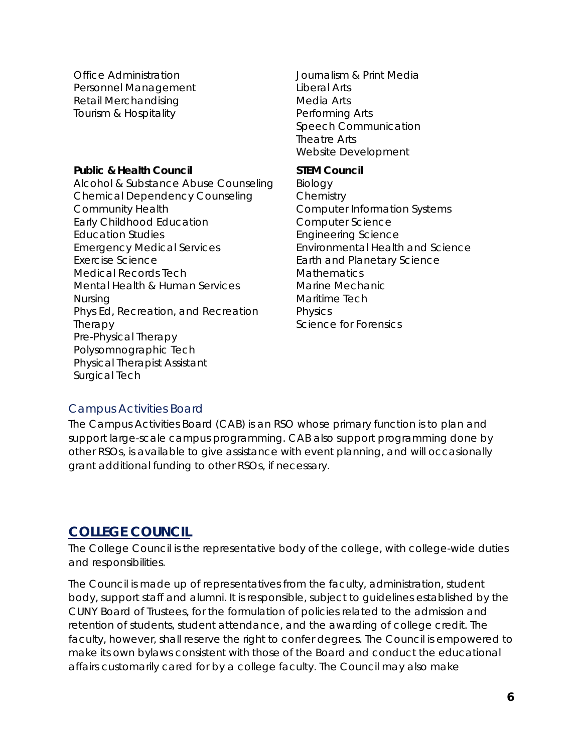Office Administration Personnel Management Retail Merchandising Tourism & Hospitality

#### **Public & Health Council**

Alcohol & Substance Abuse Counseling Chemical Dependency Counseling Community Health Early Childhood Education Education Studies Emergency Medical Services Exercise Science Medical Records Tech Mental Health & Human Services Nursing Phys Ed, Recreation, and Recreation Therapy Pre-Physical Therapy Polysomnographic Tech Physical Therapist Assistant Surgical Tech

Journalism & Print Media Liberal Arts Media Arts Performing Arts Speech Communication Theatre Arts Website Development

#### **STEM Council**

Biology **Chemistry** Computer Information Systems Computer Science Engineering Science Environmental Health and Science Earth and Planetary Science **Mathematics** Marine Mechanic Maritime Tech Physics Science for Forensics

#### <span id="page-5-0"></span>Campus Activities Board

The Campus Activities Board (CAB) is an RSO whose primary function is to plan and support large-scale campus programming. CAB also support programming done by other RSOs, is available to give assistance with event planning, and will occasionally grant additional funding to other RSOs, if necessary.

### <span id="page-5-1"></span>**COLLEGE COUNCIL**

The College Council is the representative body of the college, with college-wide duties and responsibilities.

The Council is made up of representatives from the faculty, administration, student body, support staff and alumni. It is responsible, subject to guidelines established by the CUNY Board of Trustees, for the formulation of policies related to the admission and retention of students, student attendance, and the awarding of college credit. The faculty, however, shall reserve the right to confer degrees. The Council is empowered to make its own bylaws consistent with those of the Board and conduct the educational affairs customarily cared for by a college faculty. The Council may also make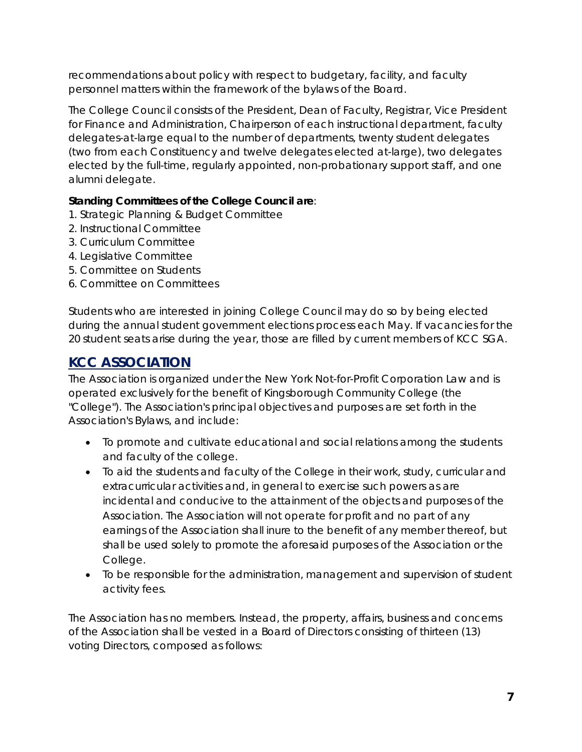recommendations about policy with respect to budgetary, facility, and faculty personnel matters within the framework of the bylaws of the Board.

The College Council consists of the President, Dean of Faculty, Registrar, Vice President for Finance and Administration, Chairperson of each instructional department, faculty delegates-at-large equal to the number of departments, twenty student delegates (two from each Constituency and twelve delegates elected at-large), two delegates elected by the full-time, regularly appointed, non-probationary support staff, and one alumni delegate.

#### **Standing Committees of the College Council are**:

- 1. Strategic Planning & Budget Committee
- 2. Instructional Committee
- 3. Curriculum Committee
- 4. Legislative Committee
- 5. Committee on Students
- 6. Committee on Committees

Students who are interested in joining College Council may do so by being elected during the annual student government elections process each May. If vacancies for the 20 student seats arise during the year, those are filled by current members of KCC SGA.

# <span id="page-6-0"></span>**KCC ASSOCIATION**

The Association is organized under the New York Not-for-Profit Corporation Law and is operated exclusively for the benefit of Kingsborough Community College (the "College"). The Association's principal objectives and purposes are set forth in the Association's Bylaws, and include:

- To promote and cultivate educational and social relations among the students and faculty of the college.
- To aid the students and faculty of the College in their work, study, curricular and extracurricular activities and, in general to exercise such powers as are incidental and conducive to the attainment of the objects and purposes of the Association. The Association will not operate for profit and no part of any earnings of the Association shall inure to the benefit of any member thereof, but shall be used solely to promote the aforesaid purposes of the Association or the College.
- To be responsible for the administration, management and supervision of student activity fees.

The Association has no members. Instead, the property, affairs, business and concerns of the Association shall be vested in a Board of Directors consisting of thirteen (13) voting Directors, composed as follows: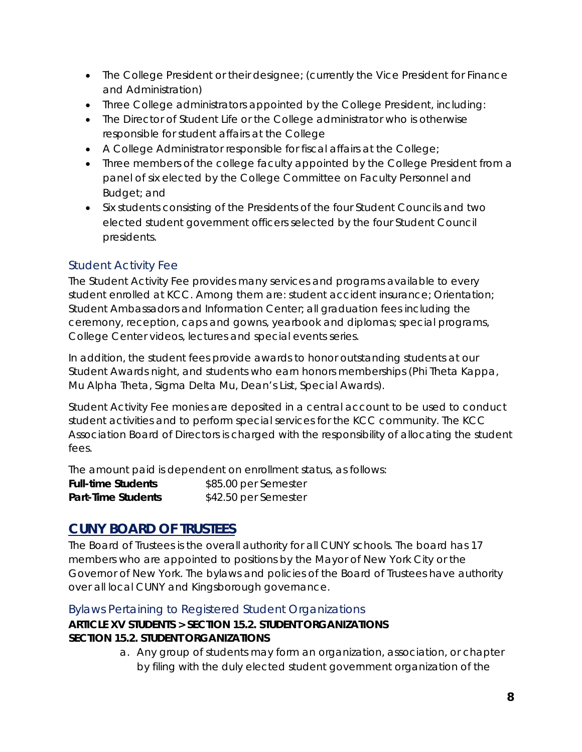- The College President or their designee; (currently the Vice President for Finance and Administration)
- Three College administrators appointed by the College President, including:
- The Director of Student Life or the College administrator who is otherwise responsible for student affairs at the College
- A College Administrator responsible for fiscal affairs at the College;
- Three members of the college faculty appointed by the College President from a panel of six elected by the College Committee on Faculty Personnel and Budget; and
- Six students consisting of the Presidents of the four Student Councils and two elected student government officers selected by the four Student Council presidents.

### <span id="page-7-0"></span>Student Activity Fee

The Student Activity Fee provides many services and programs available to every student enrolled at KCC. Among them are: student accident insurance; Orientation; Student Ambassadors and Information Center; all graduation fees including the ceremony, reception, caps and gowns, yearbook and diplomas; special programs, College Center videos, lectures and special events series.

In addition, the student fees provide awards to honor outstanding students at our Student Awards night, and students who earn honors memberships (Phi Theta Kappa, Mu Alpha Theta, Sigma Delta Mu, Dean's List, Special Awards).

Student Activity Fee monies are deposited in a central account to be used to conduct student activities and to perform special services for the KCC community. The KCC Association Board of Directors is charged with the responsibility of allocating the student fees.

The amount paid is dependent on enrollment status, as follows:

**Full-time Students** \$85.00 per Semester **Part-Time Students** \$42.50 per Semester

# <span id="page-7-1"></span>**CUNY BOARD OF TRUSTEES**

The Board of Trustees is the overall authority for all CUNY schools. The board has 17 members who are appointed to positions by the Mayor of New York City or the Governor of New York. The bylaws and policies of the Board of Trustees have authority over all local CUNY and Kingsborough governance.

<span id="page-7-2"></span>Bylaws Pertaining to Registered Student Organizations

#### **ARTICLE XV STUDENTS > SECTION 15.2. STUDENT ORGANIZATIONS SECTION 15.2. STUDENT ORGANIZATIONS**

a. Any group of students may form an organization, association, or chapter by filing with the duly elected student government organization of the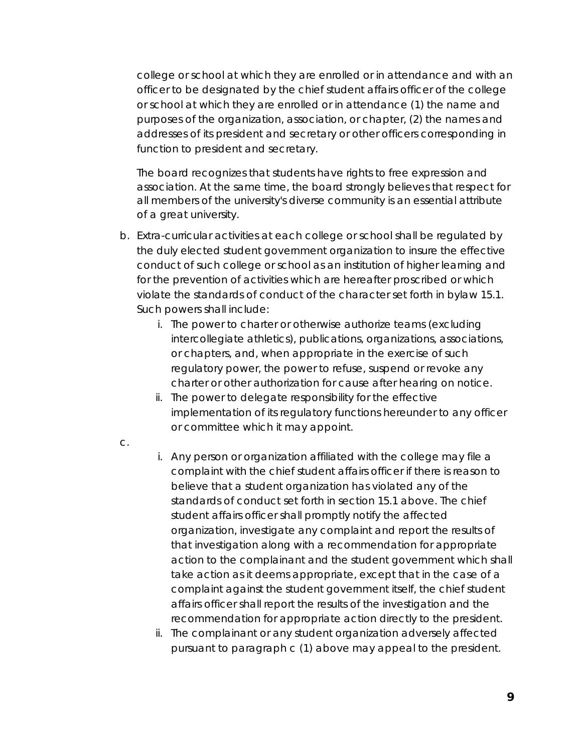college or school at which they are enrolled or in attendance and with an officer to be designated by the chief student affairs officer of the college or school at which they are enrolled or in attendance (1) the name and purposes of the organization, association, or chapter, (2) the names and addresses of its president and secretary or other officers corresponding in function to president and secretary.

The board recognizes that students have rights to free expression and association. At the same time, the board strongly believes that respect for all members of the university's diverse community is an essential attribute of a great university.

- b. Extra-curricular activities at each college or school shall be regulated by the duly elected student government organization to insure the effective conduct of such college or school as an institution of higher learning and for the prevention of activities which are hereafter proscribed or which violate the standards of conduct of the character set forth in bylaw 15.1. Such powers shall include:
	- i. The power to charter or otherwise authorize teams (excluding intercollegiate athletics), publications, organizations, associations, or chapters, and, when appropriate in the exercise of such regulatory power, the power to refuse, suspend or revoke any charter or other authorization for cause after hearing on notice.
	- ii. The power to delegate responsibility for the effective implementation of its regulatory functions hereunder to any officer or committee which it may appoint.
- c.
- i. Any person or organization affiliated with the college may file a complaint with the chief student affairs officer if there is reason to believe that a student organization has violated any of the standards of conduct set forth in section 15.1 above. The chief student affairs officer shall promptly notify the affected organization, investigate any complaint and report the results of that investigation along with a recommendation for appropriate action to the complainant and the student government which shall take action as it deems appropriate, except that in the case of a complaint against the student government itself, the chief student affairs officer shall report the results of the investigation and the recommendation for appropriate action directly to the president.
- ii. The complainant or any student organization adversely affected pursuant to paragraph c (1) above may appeal to the president.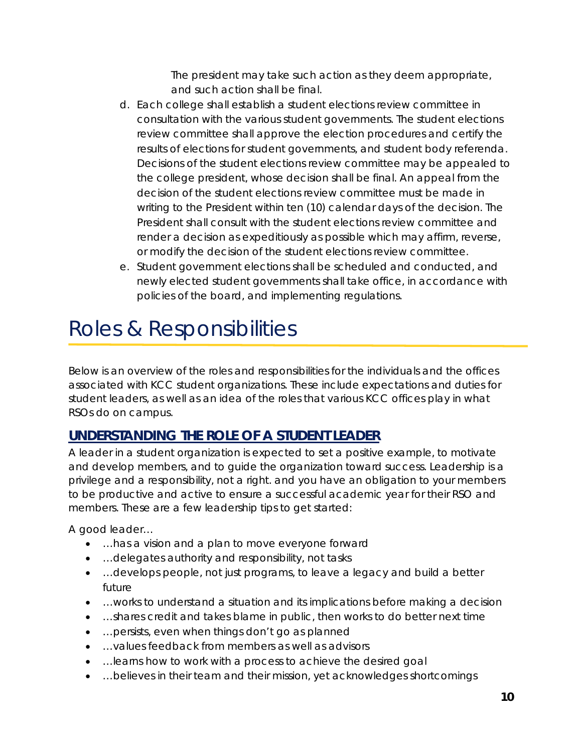The president may take such action as they deem appropriate, and such action shall be final.

- d. Each college shall establish a student elections review committee in consultation with the various student governments. The student elections review committee shall approve the election procedures and certify the results of elections for student governments, and student body referenda. Decisions of the student elections review committee may be appealed to the college president, whose decision shall be final. An appeal from the decision of the student elections review committee must be made in writing to the President within ten (10) calendar days of the decision. The President shall consult with the student elections review committee and render a decision as expeditiously as possible which may affirm, reverse, or modify the decision of the student elections review committee.
- e. Student government elections shall be scheduled and conducted, and newly elected student governments shall take office, in accordance with policies of the board, and implementing regulations.

# <span id="page-9-0"></span>Roles & Responsibilities

Below is an overview of the roles and responsibilities for the individuals and the offices associated with KCC student organizations. These include expectations and duties for student leaders, as well as an idea of the roles that various KCC offices play in what RSOs do on campus.

# <span id="page-9-1"></span>**UNDERSTANDING THE ROLE OF A STUDENT LEADER**

A leader in a student organization is expected to set a positive example, to motivate and develop members, and to guide the organization toward success. Leadership is a privilege and a responsibility, not a right. and you have an obligation to your members to be productive and active to ensure a successful academic year for their RSO and members. These are a few leadership tips to get started:

*A good leader…*

- …has a vision and a plan to move everyone forward
- …delegates authority and responsibility, not tasks
- …develops people, not just programs, to leave a legacy and build a better future
- …works to understand a situation and its implications before making a decision
- …shares credit and takes blame in public, then works to do better next time
- …persists, even when things don't go as planned
- …values feedback from members as well as advisors
- …learns how to work with a process to achieve the desired goal
- ...believes in their team and their mission, yet acknowledges shortcomings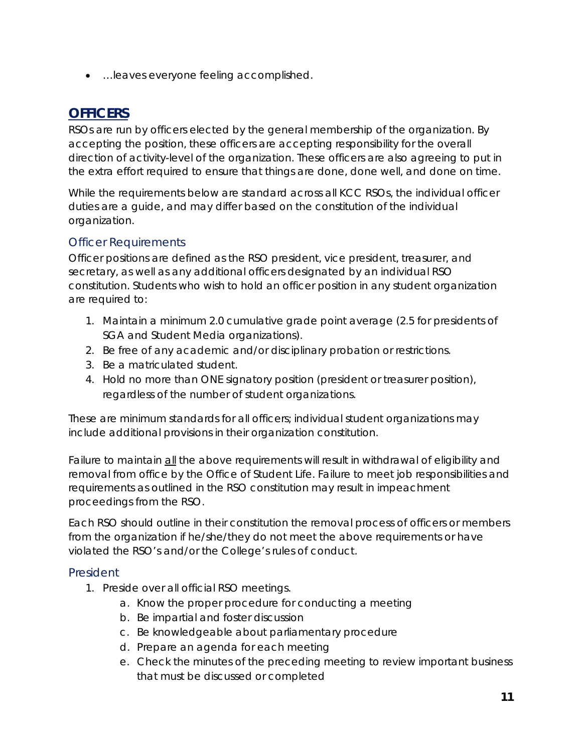• …leaves everyone feeling accomplished.

# <span id="page-10-0"></span>**OFFICERS**

RSOs are run by officers elected by the general membership of the organization. By accepting the position, these officers are accepting responsibility for the overall direction of activity-level of the organization. These officers are also agreeing to put in the extra effort required to ensure that things are done, done well, and done on time.

While the requirements below are standard across all KCC RSOs, the individual officer duties are a guide, and may differ based on the constitution of the individual organization.

#### <span id="page-10-1"></span>Officer Requirements

Officer positions are defined as the RSO president, vice president, treasurer, and secretary, as well as any additional officers designated by an individual RSO constitution. Students who wish to hold an officer position in any student organization are required to:

- 1. Maintain a minimum 2.0 cumulative grade point average (2.5 for presidents of SGA and Student Media organizations).
- 2. Be free of any academic and/or disciplinary probation or restrictions.
- 3. Be a matriculated student.
- 4. Hold no more than ONE signatory position (president or treasurer position), regardless of the number of student organizations.

These are minimum standards for all officers; individual student organizations may include additional provisions in their organization constitution.

Failure to maintain all the above requirements will result in withdrawal of eligibility and removal from office by the Office of Student Life. Failure to meet job responsibilities and requirements as outlined in the RSO constitution may result in impeachment proceedings from the RSO.

Each RSO should outline in their constitution the removal process of officers or members from the organization if he/she/they do not meet the above requirements or have violated the RSO's and/or the College's rules of conduct.

#### <span id="page-10-2"></span>President

- 1. Preside over all official RSO meetings.
	- a. Know the proper procedure for conducting a meeting
	- b. Be impartial and foster discussion
	- c. Be knowledgeable about parliamentary procedure
	- d. Prepare an agenda for each meeting
	- e. Check the minutes of the preceding meeting to review important business that must be discussed or completed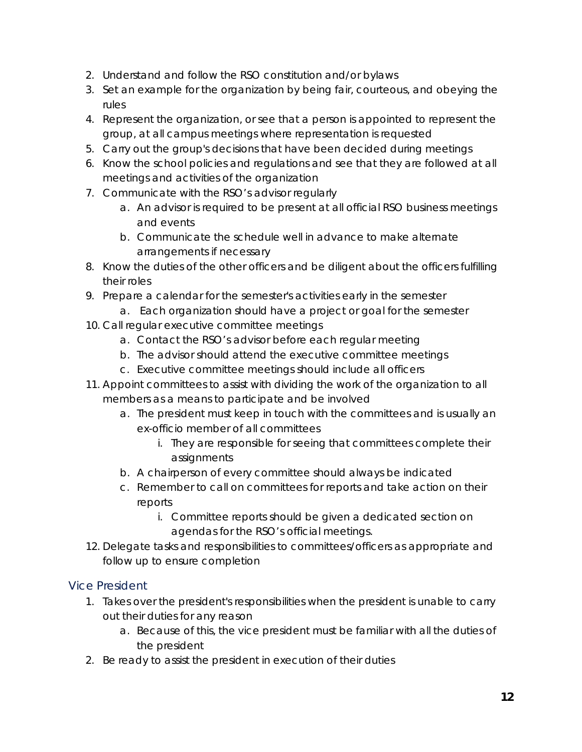- 2. Understand and follow the RSO constitution and/or bylaws
- 3. Set an example for the organization by being fair, courteous, and obeying the rules
- 4. Represent the organization, or see that a person is appointed to represent the group, at all campus meetings where representation is requested
- 5. Carry out the group's decisions that have been decided during meetings
- 6. Know the school policies and regulations and see that they are followed at all meetings and activities of the organization
- 7. Communicate with the RSO's advisor regularly
	- a. An advisor is required to be present at all official RSO business meetings and events
	- b. Communicate the schedule well in advance to make alternate arrangements if necessary
- 8. Know the duties of the other officers and be diligent about the officers fulfilling their roles
- 9. Prepare a calendar for the semester's activities early in the semester
- a. Each organization should have a project or goal for the semester
- 10. Call regular executive committee meetings
	- a. Contact the RSO's advisor before each regular meeting
	- b. The advisor should attend the executive committee meetings
	- c. Executive committee meetings should include all officers
- 11. Appoint committees to assist with dividing the work of the organization to all members as a means to participate and be involved
	- a. The president must keep in touch with the committees and is usually an ex-officio member of all committees
		- i. They are responsible for seeing that committees complete their assignments
	- b. A chairperson of every committee should always be indicated
	- c. Remember to call on committees for reports and take action on their reports
		- i. Committee reports should be given a dedicated section on agendas for the RSO's official meetings.
- 12. Delegate tasks and responsibilities to committees/officers as appropriate and follow up to ensure completion

#### <span id="page-11-0"></span>Vice President

- 1. Takes over the president's responsibilities when the president is unable to carry out their duties for any reason
	- a. Because of this, the vice president must be familiar with all the duties of the president
- 2. Be ready to assist the president in execution of their duties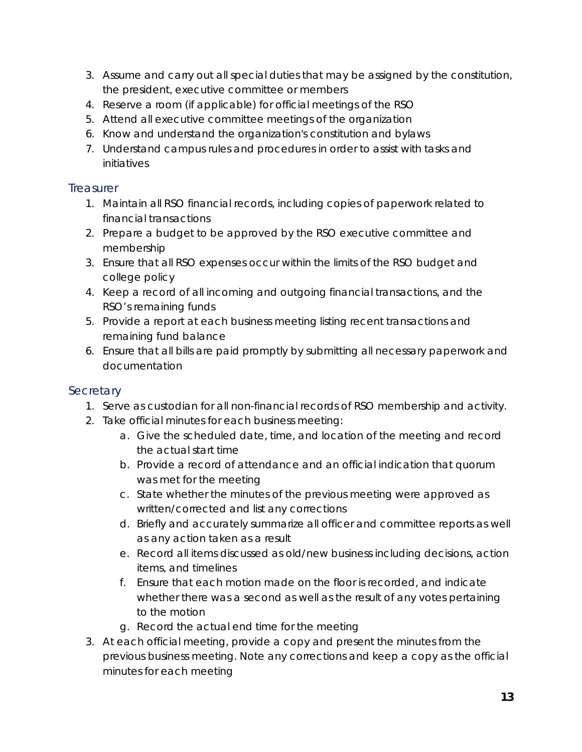- 3. Assume and carry out all special duties that may be assigned by the constitution, the president, executive committee or members
- 4. Reserve a room (if applicable) for official meetings of the RSO
- 5. Attend all executive committee meetings of the organization
- 6. Know and understand the organization's constitution and bylaws
- 7. Understand campus rules and procedures in order to assist with tasks and initiatives

#### <span id="page-12-0"></span>**Treasurer**

- 1. Maintain all RSO financial records, including copies of paperwork related to financial transactions
- 2. Prepare a budget to be approved by the RSO executive committee and membership
- 3. Ensure that all RSO expenses occur within the limits of the RSO budget and college policy
- 4. Keep a record of all incoming and outgoing financial transactions, and the RSO's remaining funds
- 5. Provide a report at each business meeting listing recent transactions and remaining fund balance
- 6. Ensure that all bills are paid promptly by submitting all necessary paperwork and documentation

#### <span id="page-12-1"></span>**Secretary**

- 1. Serve as custodian for all non-financial records of RSO membership and activity.
- 2. Take official minutes for each business meeting:
	- a. Give the scheduled date, time, and location of the meeting and record the actual start time
	- b. Provide a record of attendance and an official indication that quorum was met for the meeting
	- c. State whether the minutes of the previous meeting were approved as written/corrected and list any corrections
	- d. Briefly and accurately summarize all officer and committee reports as well as any action taken as a result
	- e. Record all items discussed as old/new business including decisions, action items, and timelines
	- f. Ensure that each motion made on the floor is recorded, and indicate whether there was a second as well as the result of any votes pertaining to the motion
	- g. Record the actual end time for the meeting
- 3. At each official meeting, provide a copy and present the minutes from the previous business meeting. Note any corrections and keep a copy as the official minutes for each meeting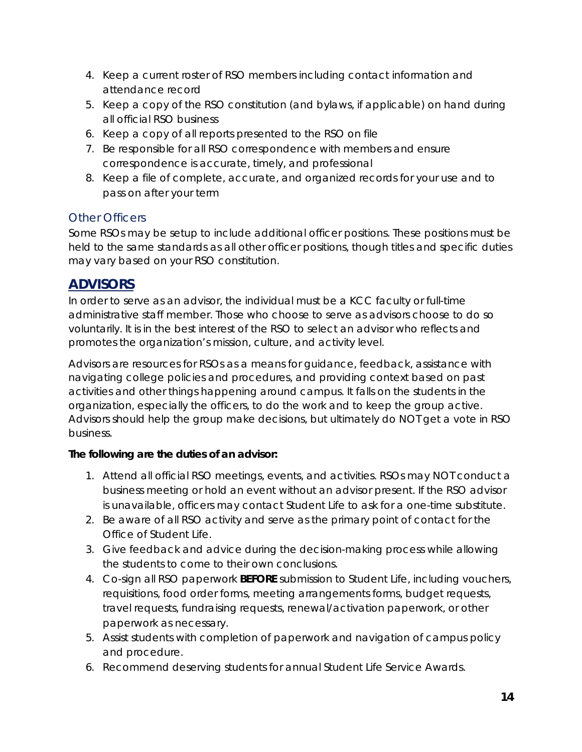- 4. Keep a current roster of RSO members including contact information and attendance record
- 5. Keep a copy of the RSO constitution (and bylaws, if applicable) on hand during all official RSO business
- 6. Keep a copy of all reports presented to the RSO on file
- 7. Be responsible for all RSO correspondence with members and ensure correspondence is accurate, timely, and professional
- 8. Keep a file of complete, accurate, and organized records for your use and to pass on after your term

#### <span id="page-13-0"></span>Other Officers

Some RSOs may be setup to include additional officer positions. These positions must be held to the same standards as all other officer positions, though titles and specific duties may vary based on your RSO constitution.

# <span id="page-13-1"></span>**ADVISORS**

In order to serve as an advisor, the individual must be a KCC faculty or full-time administrative staff member. Those who choose to serve as advisors choose to do so voluntarily. It is in the best interest of the RSO to select an advisor who reflects and promotes the organization's mission, culture, and activity level.

Advisors are resources for RSOs as a means for guidance, feedback, assistance with navigating college policies and procedures, and providing context based on past activities and other things happening around campus. *It falls on the students in the organization, especially the officers, to do the work and to keep the group active.* Advisors should help the group make decisions, but ultimately do NOT get a vote in RSO business.

#### **The following are the duties of an advisor:**

- 1. Attend all official RSO meetings, events, and activities. *RSOs may NOT conduct a business meeting or hold an event without an advisor present. If the RSO advisor is unavailable, officers may contact Student Life to ask for a one-time substitute.*
- 2. Be aware of all RSO activity and serve as the primary point of contact for the Office of Student Life.
- 3. Give feedback and advice during the decision-making process while allowing the students to come to their own conclusions.
- 4. Co-sign all RSO paperwork **BEFORE** submission to Student Life, including vouchers, requisitions, food order forms, meeting arrangements forms, budget requests, travel requests, fundraising requests, renewal/activation paperwork, or other paperwork as necessary.
- 5. Assist students with completion of paperwork and navigation of campus policy and procedure.
- 6. Recommend deserving students for annual Student Life Service Awards.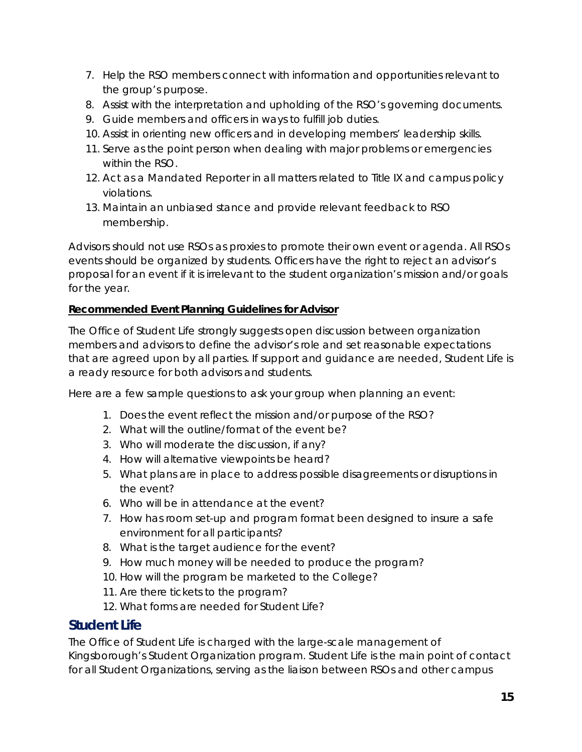- 7. Help the RSO members connect with information and opportunities relevant to the group's purpose.
- 8. Assist with the interpretation and upholding of the RSO's governing documents.
- 9. Guide members and officers in ways to fulfill job duties.
- 10. Assist in orienting new officers and in developing members' leadership skills.
- 11. Serve as the point person when dealing with major problems or emergencies within the RSO.
- 12. Act as a Mandated Reporter in all matters related to Title IX and campus policy violations.
- 13. Maintain an unbiased stance and provide relevant feedback to RSO membership.

*Advisors should not use RSOs as proxies to promote their own event or agenda. All RSOs events should be organized by students. Officers have the right to reject an advisor's proposal for an event if it is irrelevant to the student organization's mission and/or goals for the year.*

#### **Recommended Event Planning Guidelines for Advisor**

The Office of Student Life strongly suggests open discussion between organization members and advisors to define the advisor's role and set reasonable expectations that are agreed upon by all parties. If support and guidance are needed, Student Life is a ready resource for both advisors and students.

Here are a few sample questions to ask your group when planning an event:

- 1. Does the event reflect the mission and/or purpose of the RSO?
- 2. What will the outline/format of the event be?
- 3. Who will moderate the discussion, if any?
- 4. How will alternative viewpoints be heard?
- 5. What plans are in place to address possible disagreements or disruptions in the event?
- 6. Who will be in attendance at the event?
- 7. How has room set-up and program format been designed to insure a safe environment for all participants?
- 8. What is the target audience for the event?
- 9. How much money will be needed to produce the program?
- 10. How will the program be marketed to the College?
- 11. Are there tickets to the program?
- 12. What forms are needed for Student Life?

#### <span id="page-14-0"></span>**Student Life**

The Office of Student Life is charged with the large-scale management of Kingsborough's Student Organization program. Student Life is the main point of contact for all Student Organizations, serving as the liaison between RSOs and other campus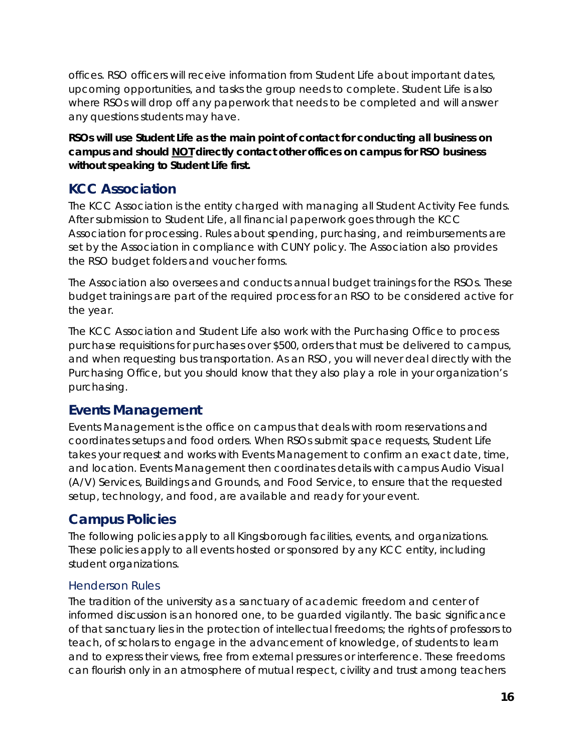offices. RSO officers will receive information from Student Life about important dates, upcoming opportunities, and tasks the group needs to complete. Student Life is also where RSOs will drop off any paperwork that needs to be completed and will answer any questions students may have.

*RSOs will use Student Life as the main point of contact for conducting all business on campus and should NOT directly contact other offices on campus for RSO business without speaking to Student Life first.*

# <span id="page-15-0"></span>**KCC Association**

The KCC Association is the entity charged with managing all Student Activity Fee funds. After submission to Student Life, all financial paperwork goes through the KCC Association for processing. Rules about spending, purchasing, and reimbursements are set by the Association in compliance with CUNY policy. The Association also provides the RSO budget folders and voucher forms.

The Association also oversees and conducts annual budget trainings for the RSOs. These budget trainings are part of the required process for an RSO to be considered active for the year.

The KCC Association and Student Life also work with the Purchasing Office to process purchase requisitions for purchases over \$500, orders that must be delivered to campus, and when requesting bus transportation. As an RSO, you will never deal directly with the Purchasing Office, but you should know that they also play a role in your organization's purchasing.

# <span id="page-15-1"></span>**Events Management**

Events Management is the office on campus that deals with room reservations and coordinates setups and food orders. When RSOs submit space requests, Student Life takes your request and works with Events Management to confirm an exact date, time, and location. Events Management then coordinates details with campus Audio Visual (A/V) Services, Buildings and Grounds, and Food Service, to ensure that the requested setup, technology, and food, are available and ready for your event.

# <span id="page-15-2"></span>**Campus Policies**

The following policies apply to all Kingsborough facilities, events, and organizations. These policies apply to all events hosted or sponsored by any KCC entity, including student organizations.

#### <span id="page-15-3"></span>Henderson Rules

The tradition of the university as a sanctuary of academic freedom and center of informed discussion is an honored one, to be guarded vigilantly. The basic significance of that sanctuary lies in the protection of intellectual freedoms; the rights of professors to teach, of scholars to engage in the advancement of knowledge, of students to learn and to express their views, free from external pressures or interference. These freedoms can flourish only in an atmosphere of mutual respect, civility and trust among teachers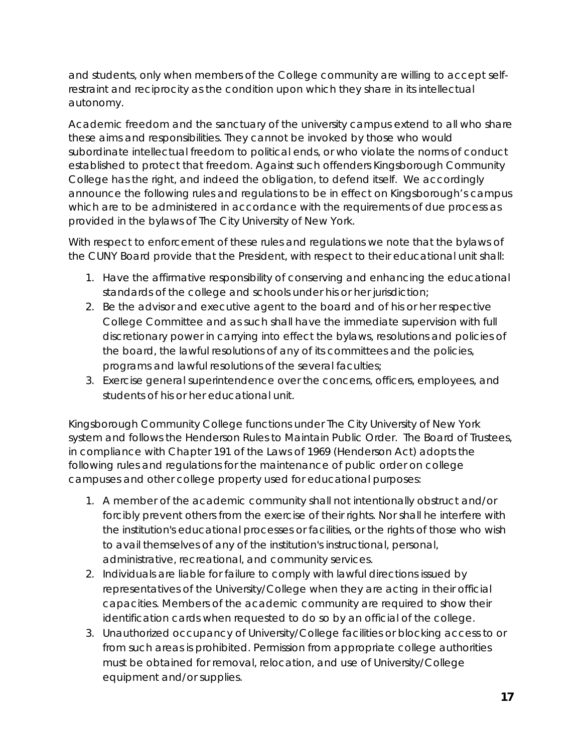and students, only when members of the College community are willing to accept selfrestraint and reciprocity as the condition upon which they share in its intellectual autonomy.

Academic freedom and the sanctuary of the university campus extend to all who share these aims and responsibilities. They cannot be invoked by those who would subordinate intellectual freedom to political ends, or who violate the norms of conduct established to protect that freedom. Against such offenders Kingsborough Community College has the right, and indeed the obligation, to defend itself. We accordingly announce the following rules and regulations to be in effect on Kingsborough's campus which are to be administered in accordance with the requirements of due process as provided in the bylaws of The City University of New York.

With respect to enforcement of these rules and regulations we note that the bylaws of the CUNY Board provide that the President, with respect to their educational unit shall:

- 1. Have the affirmative responsibility of conserving and enhancing the educational standards of the college and schools under his or her jurisdiction;
- 2. Be the advisor and executive agent to the board and of his or her respective College Committee and as such shall have the immediate supervision with full discretionary power in carrying into effect the bylaws, resolutions and policies of the board, the lawful resolutions of any of its committees and the policies, programs and lawful resolutions of the several faculties;
- 3. Exercise general superintendence over the concerns, officers, employees, and students of his or her educational unit.

Kingsborough Community College functions under The City University of New York system and follows the Henderson Rules to Maintain Public Order. The Board of Trustees, in compliance with Chapter 191 of the Laws of 1969 (Henderson Act) adopts the following rules and regulations for the maintenance of public order on college campuses and other college property used for educational purposes:

- 1. A member of the academic community shall not intentionally obstruct and/or forcibly prevent others from the exercise of their rights. Nor shall he interfere with the institution's educational processes or facilities, or the rights of those who wish to avail themselves of any of the institution's instructional, personal, administrative, recreational, and community services.
- 2. Individuals are liable for failure to comply with lawful directions issued by representatives of the University/College when they are acting in their official capacities. Members of the academic community are required to show their identification cards when requested to do so by an official of the college.
- 3. Unauthorized occupancy of University/College facilities or blocking access to or from such areas is prohibited. Permission from appropriate college authorities must be obtained for removal, relocation, and use of University/College equipment and/or supplies.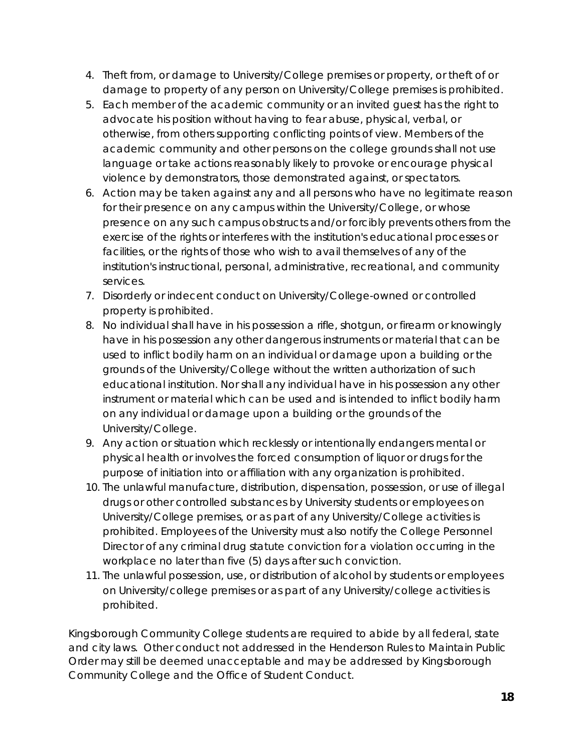- 4. Theft from, or damage to University/College premises or property, or theft of or damage to property of any person on University/College premises is prohibited.
- 5. Each member of the academic community or an invited guest has the right to advocate his position without having to fear abuse, physical, verbal, or otherwise, from others supporting conflicting points of view. Members of the academic community and other persons on the college grounds shall not use language or take actions reasonably likely to provoke or encourage physical violence by demonstrators, those demonstrated against, or spectators.
- 6. Action may be taken against any and all persons who have no legitimate reason for their presence on any campus within the University/College, or whose presence on any such campus obstructs and/or forcibly prevents others from the exercise of the rights or interferes with the institution's educational processes or facilities, or the rights of those who wish to avail themselves of any of the institution's instructional, personal, administrative, recreational, and community services.
- 7. Disorderly or indecent conduct on University/College-owned or controlled property is prohibited.
- 8. No individual shall have in his possession a rifle, shotgun, or firearm or knowingly have in his possession any other dangerous instruments or material that can be used to inflict bodily harm on an individual or damage upon a building or the grounds of the University/College without the written authorization of such educational institution. Nor shall any individual have in his possession any other instrument or material which can be used and is intended to inflict bodily harm on any individual or damage upon a building or the grounds of the University/College.
- 9. Any action or situation which recklessly or intentionally endangers mental or physical health or involves the forced consumption of liquor or drugs for the purpose of initiation into or affiliation with any organization is prohibited.
- 10. The unlawful manufacture, distribution, dispensation, possession, or use of illegal drugs or other controlled substances by University students or employees on University/College premises, or as part of any University/College activities is prohibited. Employees of the University must also notify the College Personnel Director of any criminal drug statute conviction for a violation occurring in the workplace no later than five (5) days after such conviction.
- 11. The unlawful possession, use, or distribution of alcohol by students or employees on University/college premises or as part of any University/college activities is prohibited.

*Kingsborough Community College students are required to abide by all federal, state and city laws. Other conduct not addressed in the Henderson Rules to Maintain Public Order may still be deemed unacceptable and may be addressed by Kingsborough Community College and the Office of Student Conduct.*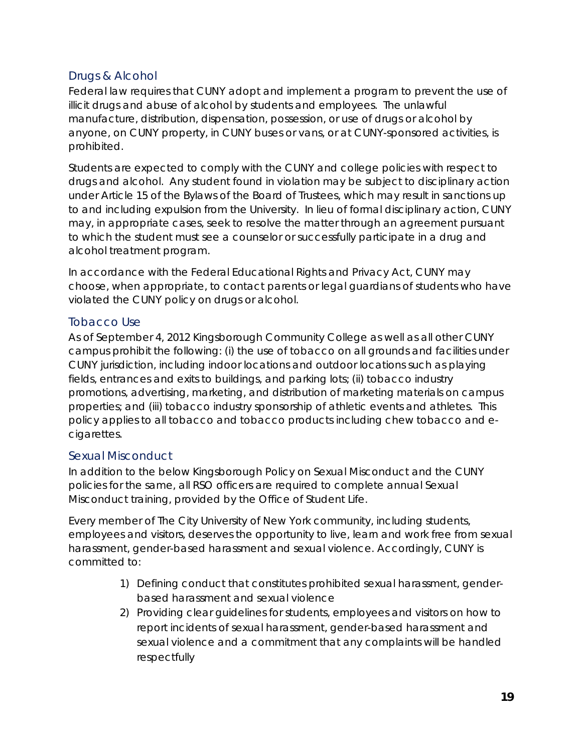#### <span id="page-18-0"></span>Drugs & Alcohol

Federal law requires that CUNY adopt and implement a program to prevent the use of illicit drugs and abuse of alcohol by students and employees. The unlawful manufacture, distribution, dispensation, possession, or use of drugs or alcohol by anyone, on CUNY property, in CUNY buses or vans, or at CUNY-sponsored activities, is prohibited.

Students are expected to comply with the CUNY and college policies with respect to drugs and alcohol. Any student found in violation may be subject to disciplinary action under Article 15 of the Bylaws of the Board of Trustees, which may result in sanctions up to and including expulsion from the University. In lieu of formal disciplinary action, CUNY may, in appropriate cases, seek to resolve the matter through an agreement pursuant to which the student must see a counselor or successfully participate in a drug and alcohol treatment program.

In accordance with the Federal Educational Rights and Privacy Act, CUNY may choose, when appropriate, to contact parents or legal guardians of students who have violated the CUNY policy on drugs or alcohol.

#### <span id="page-18-1"></span>Tobacco Use

As of September 4, 2012 Kingsborough Community College as well as all other CUNY campus prohibit the following: (i) the use of tobacco on all grounds and facilities under CUNY jurisdiction, including indoor locations and outdoor locations such as playing fields, entrances and exits to buildings, and parking lots; (ii) tobacco industry promotions, advertising, marketing, and distribution of marketing materials on campus properties; and (iii) tobacco industry sponsorship of athletic events and athletes. This policy applies to all tobacco and tobacco products including chew tobacco and ecigarettes.

#### <span id="page-18-2"></span>Sexual Misconduct

In addition to the below Kingsborough Policy on Sexual Misconduct and the CUNY policies for the same, all RSO officers are required to complete annual Sexual Misconduct training, provided by the Office of Student Life.

Every member of The City University of New York community, including students, employees and visitors, deserves the opportunity to live, learn and work free from sexual harassment, gender-based harassment and sexual violence. Accordingly, CUNY is committed to:

- 1) Defining conduct that constitutes prohibited sexual harassment, genderbased harassment and sexual violence
- 2) Providing clear guidelines for students, employees and visitors on how to report incidents of sexual harassment, gender-based harassment and sexual violence and a commitment that any complaints will be handled respectfully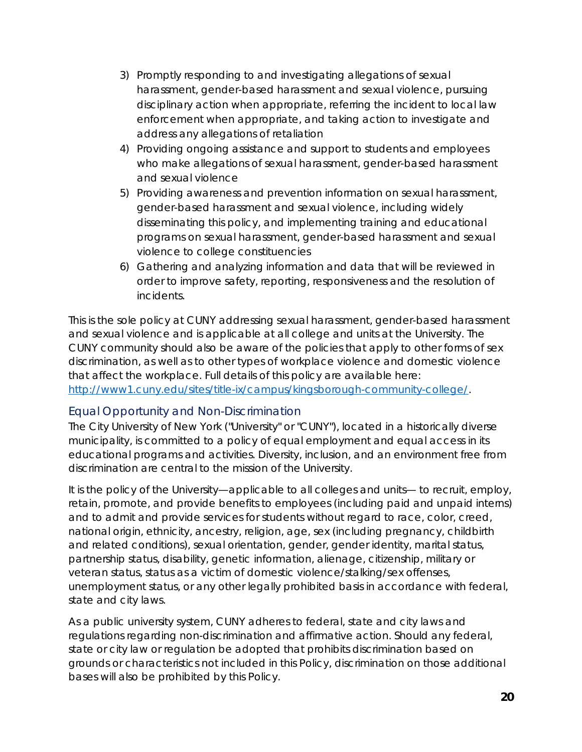- 3) Promptly responding to and investigating allegations of sexual harassment, gender-based harassment and sexual violence, pursuing disciplinary action when appropriate, referring the incident to local law enforcement when appropriate, and taking action to investigate and address any allegations of retaliation
- 4) Providing ongoing assistance and support to students and employees who make allegations of sexual harassment, gender-based harassment and sexual violence
- 5) Providing awareness and prevention information on sexual harassment, gender-based harassment and sexual violence, including widely disseminating this policy, and implementing training and educational programs on sexual harassment, gender-based harassment and sexual violence to college constituencies
- 6) Gathering and analyzing information and data that will be reviewed in order to improve safety, reporting, responsiveness and the resolution of incidents.

This is the sole policy at CUNY addressing sexual harassment, gender-based harassment and sexual violence and is applicable at all college and units at the University. The CUNY community should also be aware of the policies that apply to other forms of sex discrimination, as well as to other types of workplace violence and domestic violence that affect the workplace. Full details of this policy are available here: [http://www1.cuny.edu/sites/title-ix/campus/kingsborough-community-college/.](http://www1.cuny.edu/sites/title-ix/campus/kingsborough-community-college/)

#### <span id="page-19-0"></span>Equal Opportunity and Non-Discrimination

The City University of New York ("University" or "CUNY"), located in a historically diverse municipality, is committed to a policy of equal employment and equal access in its educational programs and activities. Diversity, inclusion, and an environment free from discrimination are central to the mission of the University.

It is the policy of the University—applicable to all colleges and units— to recruit, employ, retain, promote, and provide benefits to employees (including paid and unpaid interns) and to admit and provide services for students without regard to race, color, creed, national origin, ethnicity, ancestry, religion, age, sex (including pregnancy, childbirth and related conditions), sexual orientation, gender, gender identity, marital status, partnership status, disability, genetic information, alienage, citizenship, military or veteran status, status as a victim of domestic violence/stalking/sex offenses, unemployment status, or any other legally prohibited basis in accordance with federal, state and city laws.

As a public university system, CUNY adheres to federal, state and city laws and regulations regarding non-discrimination and affirmative action. Should any federal, state or city law or regulation be adopted that prohibits discrimination based on grounds or characteristics not included in this Policy, discrimination on those additional bases will also be prohibited by this Policy.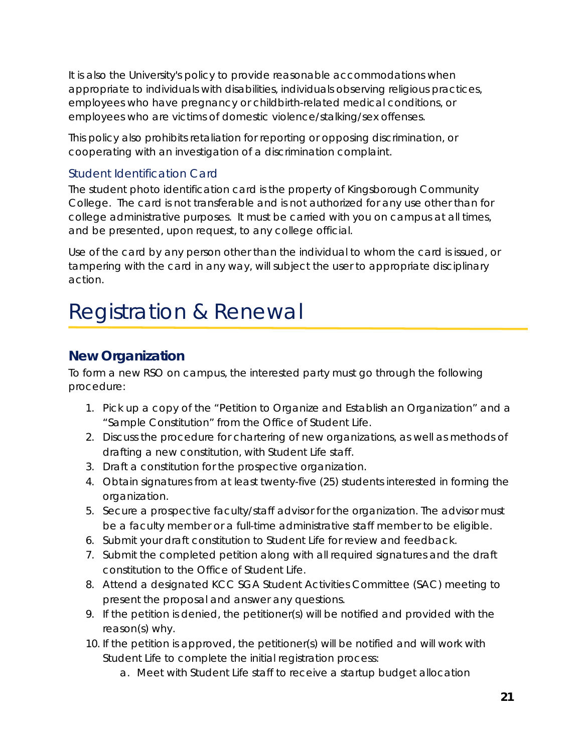It is also the University's policy to provide reasonable accommodations when appropriate to individuals with disabilities, individuals observing religious practices, employees who have pregnancy or childbirth-related medical conditions, or employees who are victims of domestic violence/stalking/sex offenses.

This policy also prohibits retaliation for reporting or opposing discrimination, or cooperating with an investigation of a discrimination complaint.

#### <span id="page-20-0"></span>Student Identification Card

The student photo identification card is the property of Kingsborough Community College. The card is not transferable and is not authorized for any use other than for college administrative purposes. It must be carried with you on campus at all times, and be presented, upon request, to any college official.

Use of the card by any person other than the individual to whom the card is issued, or tampering with the card in any way, will subject the user to appropriate disciplinary action.

# <span id="page-20-1"></span>Registration & Renewal

# <span id="page-20-2"></span>**New Organization**

To form a new RSO on campus, the interested party must go through the following procedure:

- 1. Pick up a copy of the "Petition to Organize and Establish an Organization" and a "Sample Constitution" from the Office of Student Life.
- 2. Discuss the procedure for chartering of new organizations, as well as methods of drafting a new constitution, with Student Life staff.
- 3. Draft a constitution for the prospective organization.
- 4. Obtain signatures from at least twenty-five (25) students interested in forming the organization.
- 5. Secure a prospective faculty/staff advisor for the organization. The advisor must be a faculty member or a full-time administrative staff member to be eligible.
- 6. Submit your draft constitution to Student Life for review and feedback.
- 7. Submit the completed petition along with all required signatures and the draft constitution to the Office of Student Life.
- 8. Attend a designated KCC SGA Student Activities Committee (SAC) meeting to present the proposal and answer any questions.
- 9. If the petition is denied, the petitioner(s) will be notified and provided with the reason(s) why.
- 10. If the petition is approved, the petitioner(s) will be notified and will work with Student Life to complete the initial registration process:
	- a. Meet with Student Life staff to receive a startup budget allocation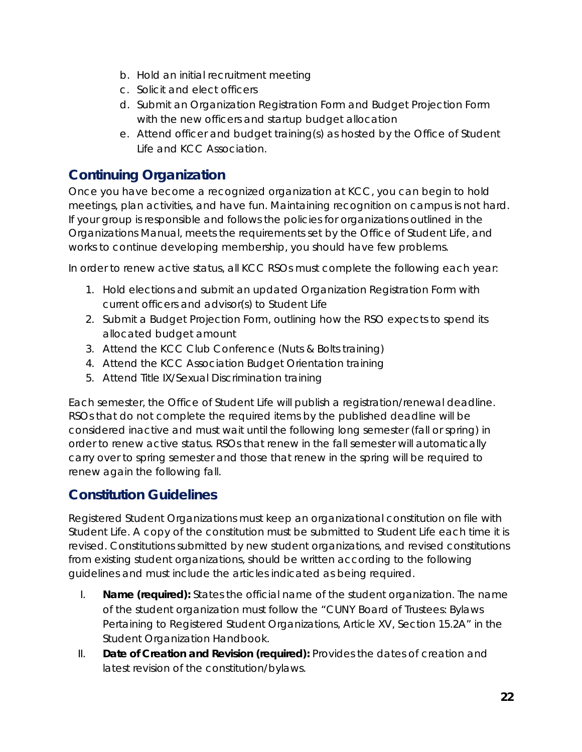- b. Hold an initial recruitment meeting
- c. Solicit and elect officers
- d. Submit an Organization Registration Form and Budget Projection Form with the new officers and startup budget allocation
- e. Attend officer and budget training(s) as hosted by the Office of Student Life and KCC Association.

# <span id="page-21-0"></span>**Continuing Organization**

Once you have become a recognized organization at KCC, you can begin to hold meetings, plan activities, and have fun. Maintaining recognition on campus is not hard. If your group is responsible and follows the policies for organizations outlined in the Organizations Manual, meets the requirements set by the Office of Student Life, and works to continue developing membership, you should have few problems.

In order to renew active status, all KCC RSOs must complete the following each year:

- 1. Hold elections and submit an updated Organization Registration Form with current officers and advisor(s) to Student Life
- 2. Submit a Budget Projection Form, outlining how the RSO expects to spend its allocated budget amount
- 3. Attend the KCC Club Conference (Nuts & Bolts training)
- 4. Attend the KCC Association Budget Orientation training
- 5. Attend Title IX/Sexual Discrimination training

Each semester, the Office of Student Life will publish a registration/renewal deadline. RSOs that do not complete the required items by the published deadline will be considered inactive and must wait until the following long semester (fall or spring) in order to renew active status. RSOs that renew in the fall semester will automatically carry over to spring semester and those that renew in the spring will be required to renew again the following fall.

# <span id="page-21-1"></span>**Constitution Guidelines**

Registered Student Organizations must keep an organizational constitution on file with Student Life. A copy of the constitution must be submitted to Student Life each time it is revised. Constitutions submitted by new student organizations, and revised constitutions from existing student organizations, should be written according to the following guidelines and must include the articles indicated as being required.

- I. **Name (required):** States the official name of the student organization. The name of the student organization must follow the "CUNY Board of Trustees: Bylaws Pertaining to Registered Student Organizations, Article XV, Section 15.2A" in the Student Organization Handbook.
- II. **Date of Creation and Revision (required):** Provides the dates of creation and latest revision of the constitution/bylaws.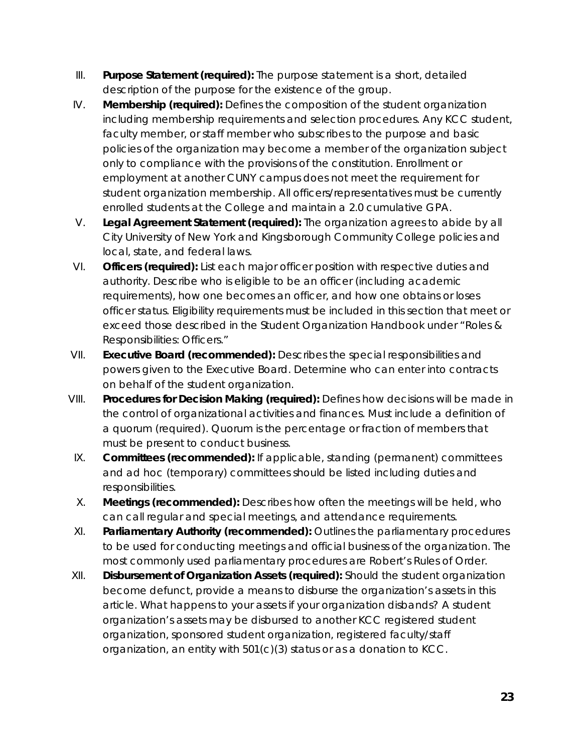- III. **Purpose Statement (required):** The purpose statement is a short, detailed description of the purpose for the existence of the group.
- IV. **Membership (required):** Defines the composition of the student organization including membership requirements and selection procedures. Any KCC student, faculty member, or staff member who subscribes to the purpose and basic policies of the organization may become a member of the organization subject only to compliance with the provisions of the constitution. Enrollment or employment at another CUNY campus does not meet the requirement for student organization membership. All officers/representatives must be currently enrolled students at the College and maintain a 2.0 cumulative GPA.
- V. **Legal Agreement Statement (required):** The organization agrees to abide by all City University of New York and Kingsborough Community College policies and local, state, and federal laws.
- VI. **Officers (required):** List each major officer position with respective duties and authority. Describe who is eligible to be an officer (including academic requirements), how one becomes an officer, and how one obtains or loses officer status. Eligibility requirements must be included in this section that meet or exceed those described in the Student Organization Handbook under "Roles & Responsibilities: Officers."
- VII. **Executive Board (recommended):** Describes the special responsibilities and powers given to the Executive Board. Determine who can enter into contracts on behalf of the student organization.
- VIII. **Procedures for Decision Making (required):** Defines how decisions will be made in the control of organizational activities and finances. Must include a definition of a quorum (required). Quorum is the percentage or fraction of members that must be present to conduct business.
- IX. **Committees (recommended):** If applicable, standing (permanent) committees and ad hoc (temporary) committees should be listed including duties and responsibilities.
- X. **Meetings (recommended):** Describes how often the meetings will be held, who can call regular and special meetings, and attendance requirements.
- XI. **Parliamentary Authority (recommended):** Outlines the parliamentary procedures to be used for conducting meetings and official business of the organization. The most commonly used parliamentary procedures are Robert's Rules of Order.
- XII. **Disbursement of Organization Assets (required):** Should the student organization become defunct, provide a means to disburse the organization's assets in this article. What happens to your assets if your organization disbands? A student organization's assets may be disbursed to another KCC registered student organization, sponsored student organization, registered faculty/staff organization, an entity with 501(c)(3) status or as a donation to KCC.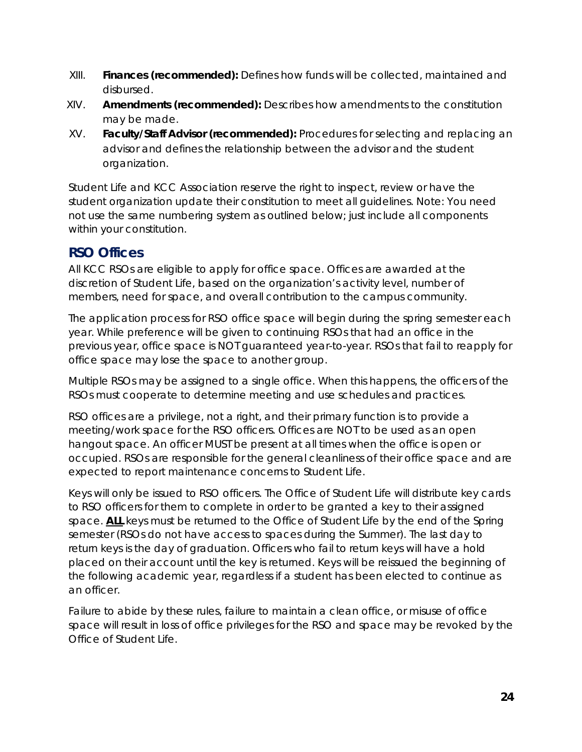- XIII. **Finances (recommended):** Defines how funds will be collected, maintained and disbursed.
- XIV. **Amendments (recommended):** Describes how amendments to the constitution may be made.
- XV. **Faculty/Staff Advisor (recommended):** Procedures for selecting and replacing an advisor and defines the relationship between the advisor and the student organization.

Student Life and KCC Association reserve the right to inspect, review or have the student organization update their constitution to meet all guidelines. Note: You need not use the same numbering system as outlined below; just include all components within your constitution.

### **RSO Offices**

All KCC RSOs are eligible to apply for office space. Offices are awarded at the discretion of Student Life, based on the organization's activity level, number of members, need for space, and overall contribution to the campus community.

The application process for RSO office space will begin during the spring semester each year. While preference will be given to continuing RSOs that had an office in the previous year, office space is NOT guaranteed year-to-year. RSOs that fail to reapply for office space may lose the space to another group.

Multiple RSOs may be assigned to a single office. When this happens, the officers of the RSOs must cooperate to determine meeting and use schedules and practices.

RSO offices are a privilege, not a right, and their primary function is to provide a meeting/work space for the RSO officers. Offices are NOT to be used as an open hangout space. An officer MUST be present at all times when the office is open or occupied. RSOs are responsible for the general cleanliness of their office space and are expected to report maintenance concerns to Student Life.

Keys will only be issued to RSO officers. The Office of Student Life will distribute key cards to RSO officers for them to complete in order to be granted a key to their assigned space. **ALL** keys must be returned to the Office of Student Life by the end of the Spring semester (RSOs do not have access to spaces during the Summer). The last day to return keys is the day of graduation. Officers who fail to return keys will have a hold placed on their account until the key is returned. Keys will be reissued the beginning of the following academic year, regardless if a student has been elected to continue as an officer.

Failure to abide by these rules, failure to maintain a clean office, or misuse of office space will result in loss of office privileges for the RSO and space may be revoked by the Office of Student Life.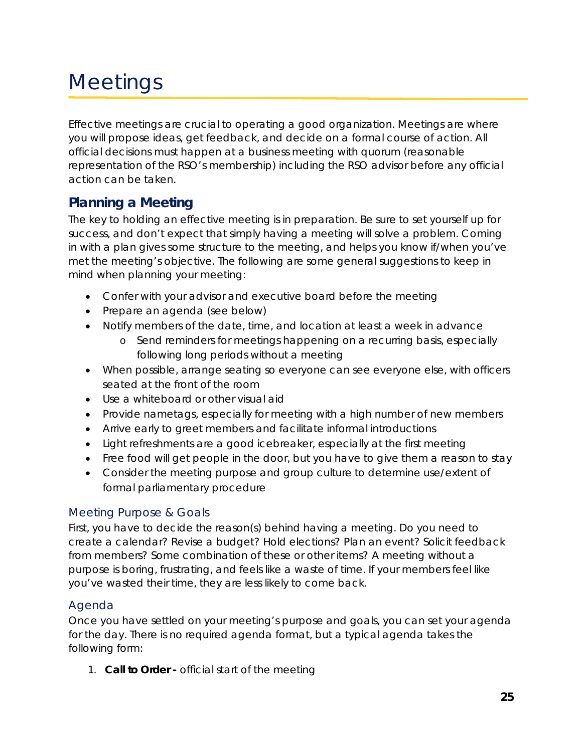# <span id="page-24-0"></span>**Meetings**

Effective meetings are crucial to operating a good organization. Meetings are where you will propose ideas, get feedback, and decide on a formal course of action. All official decisions must happen at a business meeting with quorum (reasonable representation of the RSO's membership) including the RSO advisor before any official action can be taken.

# <span id="page-24-1"></span>**Planning a Meeting**

The key to holding an effective meeting is in preparation. Be sure to set yourself up for success, and don't expect that simply having a meeting will solve a problem. Coming in with a plan gives some structure to the meeting, and helps you know if/when you've met the meeting's objective. The following are some general suggestions to keep in mind when planning your meeting:

- Confer with your advisor and executive board before the meeting
- Prepare an agenda (see below)
- Notify members of the date, time, and location at least a week in advance
	- o Send reminders for meetings happening on a recurring basis, especially following long periods without a meeting
- When possible, arrange seating so everyone can see everyone else, with officers seated at the front of the room
- Use a whiteboard or other visual aid
- Provide nametags, especially for meeting with a high number of new members
- Arrive early to greet members and facilitate informal introductions
- Light refreshments are a good icebreaker, especially at the first meeting
- Free food will get people in the door, but you have to give them a reason to stay
- Consider the meeting purpose and group culture to determine use/extent of formal parliamentary procedure

#### <span id="page-24-2"></span>Meeting Purpose & Goals

First, you have to decide the reason(s) behind having a meeting. Do you need to create a calendar? Revise a budget? Hold elections? Plan an event? Solicit feedback from members? Some combination of these or other items? A meeting without a purpose is boring, frustrating, and feels like a waste of time. If your members feel like you've wasted their time, they are less likely to come back.

#### <span id="page-24-3"></span>Agenda

Once you have settled on your meeting's purpose and goals, you can set your agenda for the day. There is no required agenda format, but a typical agenda takes the following form:

1. **Call to Order -** official start of the meeting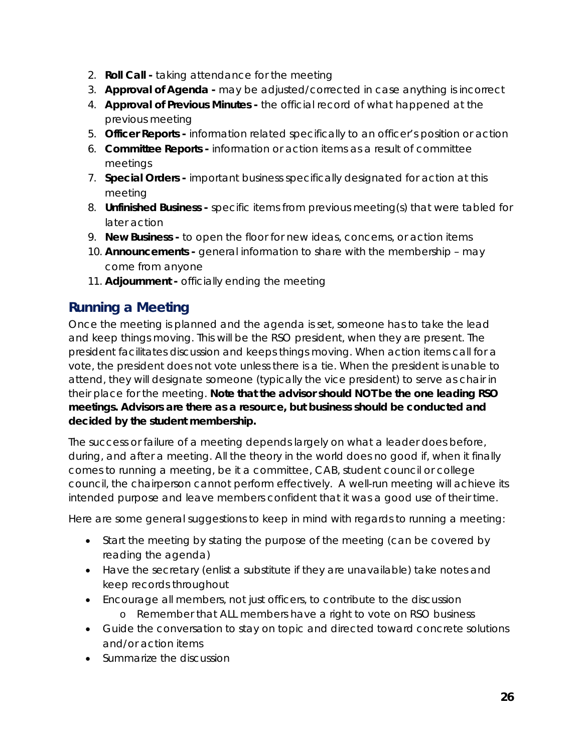- 2. **Roll Call -** taking attendance for the meeting
- 3. **Approval of Agenda -** may be adjusted/corrected in case anything is incorrect
- 4. **Approval of Previous Minutes -** the official record of what happened at the previous meeting
- 5. **Officer Reports -** information related specifically to an officer's position or action
- 6. **Committee Reports -** information or action items as a result of committee meetings
- 7. **Special Orders -** important business specifically designated for action at this meeting
- 8. **Unfinished Business -** specific items from previous meeting(s) that were tabled for later action
- 9. **New Business -** to open the floor for new ideas, concerns, or action items
- 10. **Announcements -** general information to share with the membership may come from anyone
- 11. **Adjournment -** officially ending the meeting

# <span id="page-25-0"></span>**Running a Meeting**

Once the meeting is planned and the agenda is set, someone has to take the lead and keep things moving. This will be the RSO president, when they are present. The president facilitates discussion and keeps things moving. When action items call for a vote, the president does not vote unless there is a tie. When the president is unable to attend, they will designate someone (typically the vice president) to serve as chair in their place for the meeting. **Note that the advisor should NOT be the one leading RSO meetings. Advisors are there as a resource, but business should be conducted and decided by the student membership.**

The success or failure of a meeting depends largely on what a leader does before, during, and after a meeting. All the theory in the world does no good if, when it finally comes to running a meeting, be it a committee, CAB, student council or college council, the chairperson cannot perform effectively. A well-run meeting will achieve its intended purpose and leave members confident that it was a good use of their time.

Here are some general suggestions to keep in mind with regards to running a meeting:

- Start the meeting by stating the purpose of the meeting (can be covered by reading the agenda)
- Have the secretary (enlist a substitute if they are unavailable) take notes and keep records throughout
- Encourage all members, not just officers, to contribute to the discussion
	- o Remember that ALL members have a right to vote on RSO business
- Guide the conversation to stay on topic and directed toward concrete solutions and/or action items
- Summarize the discussion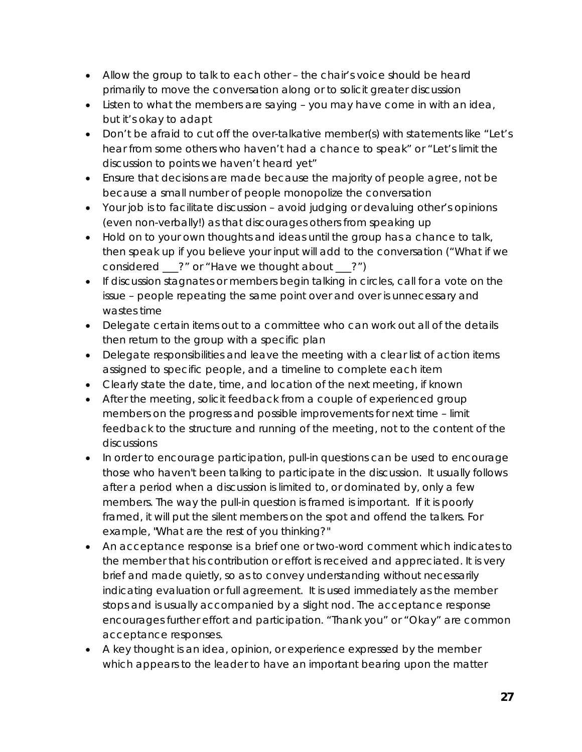- Allow the group to talk to each other the chair's voice should be heard primarily to move the conversation along or to solicit greater discussion
- Listen to what the members are saying you may have come in with an idea, but it's okay to adapt
- Don't be afraid to cut off the over-talkative member(s) with statements like "Let's hear from some others who haven't had a chance to speak" or "Let's limit the discussion to points we haven't heard yet"
- Ensure that decisions are made because the majority of people agree, not be because a small number of people monopolize the conversation
- Your job is to facilitate discussion avoid judging or devaluing other's opinions (even non-verbally!) as that discourages others from speaking up
- Hold on to your own thoughts and ideas until the group has a chance to talk, then speak up if you believe your input will add to the conversation ("What if we considered \_\_\_?" or "Have we thought about \_\_\_?")
- If discussion stagnates or members begin talking in circles, call for a vote on the issue – people repeating the same point over and over is unnecessary and wastes time
- Delegate certain items out to a committee who can work out all of the details then return to the group with a specific plan
- Delegate responsibilities and leave the meeting with a clear list of action items assigned to specific people, and a timeline to complete each item
- Clearly state the date, time, and location of the next meeting, if known
- After the meeting, solicit feedback from a couple of experienced group members on the progress and possible improvements for next time – limit feedback to the structure and running of the meeting, not to the content of the discussions
- In order to encourage participation, pull-in questions can be used to encourage those who haven't been talking to participate in the discussion. It usually follows after a period when a discussion is limited to, or dominated by, only a few members. The way the pull-in question is framed is important. If it is poorly framed, it will put the silent members on the spot and offend the talkers. For example, "What are the rest of you thinking?"
- An acceptance response is a brief one or two-word comment which indicates to the member that his contribution or effort is received and appreciated. It is very brief and made quietly, so as to convey understanding without necessarily indicating evaluation or full agreement. It is used immediately as the member stops and is usually accompanied by a slight nod. The acceptance response encourages further effort and participation. "Thank you" or "Okay" are common acceptance responses.
- A key thought is an idea, opinion, or experience expressed by the member which appears to the leader to have an important bearing upon the matter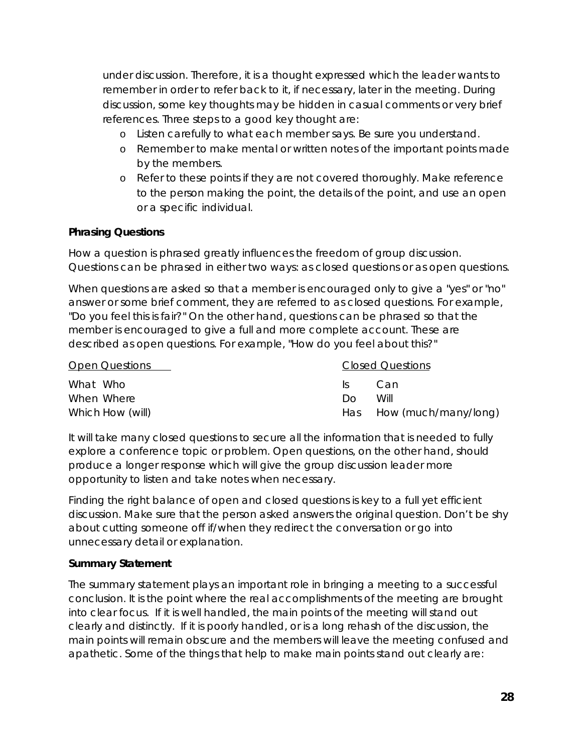under discussion. Therefore, it is a thought expressed which the leader wants to remember in order to refer back to it, if necessary, later in the meeting. During discussion, some key thoughts may be hidden in casual comments or very brief references. Three steps to a good key thought are:

- o Listen carefully to what each member says. Be sure you understand.
- o Remember to make mental or written notes of the important points made by the members.
- o Refer to these points if they are not covered thoroughly. Make reference to the person making the point, the details of the point, and use an open or a specific individual.

#### **Phrasing Questions**

How a question is phrased greatly influences the freedom of group discussion. Questions can be phrased in either two ways: as closed questions or as open questions.

When questions are asked so that a member is encouraged only to give a "yes" or "no" answer or some brief comment, they are referred to as closed questions. For example, "Do you feel this is fair?" On the other hand, questions can be phrased so that the member is encouraged to give a full and more complete account. These are described as open questions. For example, "How do you feel about this?"

| <b>Open Questions</b> |            | <b>Closed Questions</b>  |  |  |  |
|-----------------------|------------|--------------------------|--|--|--|
| What Who              | Can<br>IS. |                          |  |  |  |
| When Where            | Will<br>ഥറ |                          |  |  |  |
| Which How (will)      |            | Has How (much/many/long) |  |  |  |

It will take many closed questions to secure all the information that is needed to fully explore a conference topic or problem. Open questions, on the other hand, should produce a longer response which will give the group discussion leader more opportunity to listen and take notes when necessary.

Finding the right balance of open and closed questions is key to a full yet efficient discussion. Make sure that the person asked answers the original question. Don't be shy about cutting someone off if/when they redirect the conversation or go into unnecessary detail or explanation.

#### **Summary Statement**

The summary statement plays an important role in bringing a meeting to a successful conclusion. It is the point where the real accomplishments of the meeting are brought into clear focus. If it is well handled, the main points of the meeting will stand out clearly and distinctly. If it is poorly handled, or is a long rehash of the discussion, the main points will remain obscure and the members will leave the meeting confused and apathetic. Some of the things that help to make main points stand out clearly are: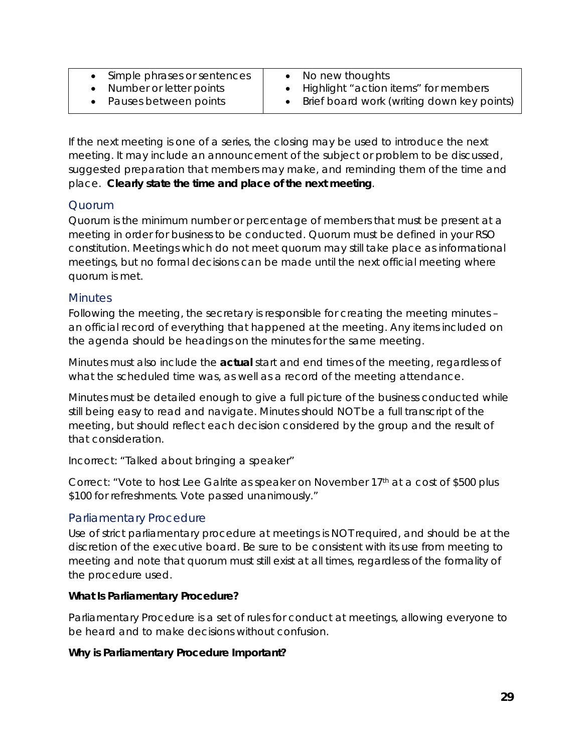- Simple phrases or sentences
- No new thoughts
- Number or letter points
- Pauses between points
- Highlight "action items" for members
- Brief board work (writing down key points)

If the next meeting is one of a series, the closing may be used to introduce the next meeting. It may include an announcement of the subject or problem to be discussed, suggested preparation that members may make, and reminding them of the time and place. **Clearly state the time and place of the next meeting**.

#### <span id="page-28-0"></span>Quorum

Quorum is the minimum number or percentage of members that must be present at a meeting in order for business to be conducted. Quorum must be defined in your RSO constitution. Meetings which do not meet quorum may still take place as informational meetings, but no formal decisions can be made until the next official meeting where quorum is met.

#### <span id="page-28-1"></span>**Minutes**

Following the meeting, the secretary is responsible for creating the meeting minutes – an official record of everything that happened at the meeting. Any items included on the agenda should be headings on the minutes for the same meeting.

Minutes must also include the **actual** start and end times of the meeting, regardless of what the scheduled time was, as well as a record of the meeting attendance.

Minutes must be detailed enough to give a full picture of the business conducted while still being easy to read and navigate. Minutes should NOT be a full transcript of the meeting, but should reflect each decision considered by the group and the result of that consideration.

*Incorrect: "Talked about bringing a speaker"*

*Correct: "Vote to host Lee Galrite as speaker on November 17th at a cost of \$500 plus \$100 for refreshments. Vote passed unanimously."*

#### <span id="page-28-2"></span>Parliamentary Procedure

Use of strict parliamentary procedure at meetings is NOT required, and should be at the discretion of the executive board. Be sure to be consistent with its use from meeting to meeting and note that quorum must still exist at all times, regardless of the formality of the procedure used.

#### **What Is Parliamentary Procedure?**

Parliamentary Procedure is a set of rules for conduct at meetings, allowing everyone to be heard and to make decisions without confusion.

#### **Why is Parliamentary Procedure Important?**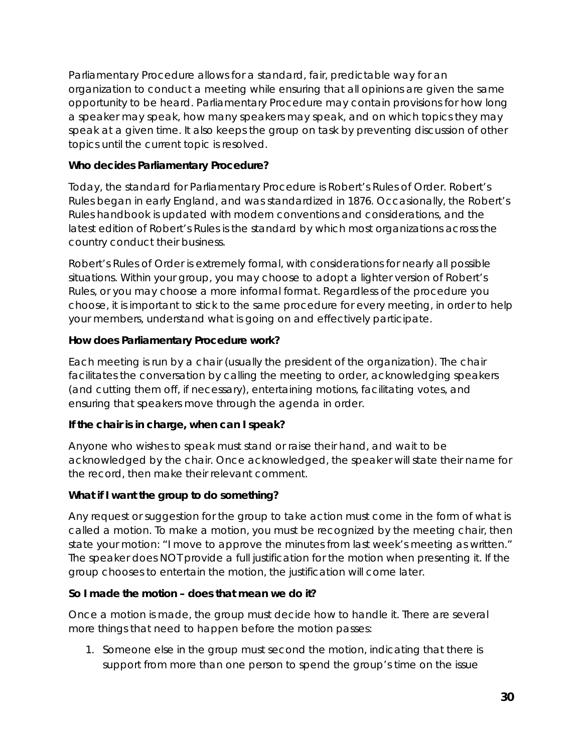Parliamentary Procedure allows for a standard, fair, predictable way for an organization to conduct a meeting while ensuring that all opinions are given the same opportunity to be heard. Parliamentary Procedure may contain provisions for how long a speaker may speak, how many speakers may speak, and on which topics they may speak at a given time. It also keeps the group on task by preventing discussion of other topics until the current topic is resolved.

#### **Who decides Parliamentary Procedure?**

Today, the standard for Parliamentary Procedure is Robert's Rules of Order. Robert's Rules began in early England, and was standardized in 1876. Occasionally, the Robert's Rules handbook is updated with modern conventions and considerations, and the latest edition of Robert's Rules is the standard by which most organizations across the country conduct their business.

Robert's Rules of Order is extremely formal, with considerations for nearly all possible situations. Within your group, you may choose to adopt a lighter version of Robert's Rules, or you may choose a more informal format. Regardless of the procedure you choose, it is important to stick to the same procedure for every meeting, in order to help your members, understand what is going on and effectively participate.

#### **How does Parliamentary Procedure work?**

Each meeting is run by a chair (usually the president of the organization). The chair facilitates the conversation by calling the meeting to order, acknowledging speakers (and cutting them off, if necessary), entertaining motions, facilitating votes, and ensuring that speakers move through the agenda in order.

#### **If the chair is in charge, when can I speak?**

Anyone who wishes to speak must stand or raise their hand, and wait to be acknowledged by the chair. Once acknowledged, the speaker will state their name for the record, then make their relevant comment.

#### **What if I want the group to do something?**

Any request or suggestion for the group to take action must come in the form of what is called a motion. To make a motion, you must be recognized by the meeting chair, then state your motion: "I move to approve the minutes from last week's meeting as written." The speaker does NOT provide a full justification for the motion when presenting it. If the group chooses to entertain the motion, the justification will come later.

#### **So I made the motion – does that mean we do it?**

Once a motion is made, the group must decide how to handle it. There are several more things that need to happen before the motion passes:

1. Someone else in the group must second the motion, indicating that there is support from more than one person to spend the group's time on the issue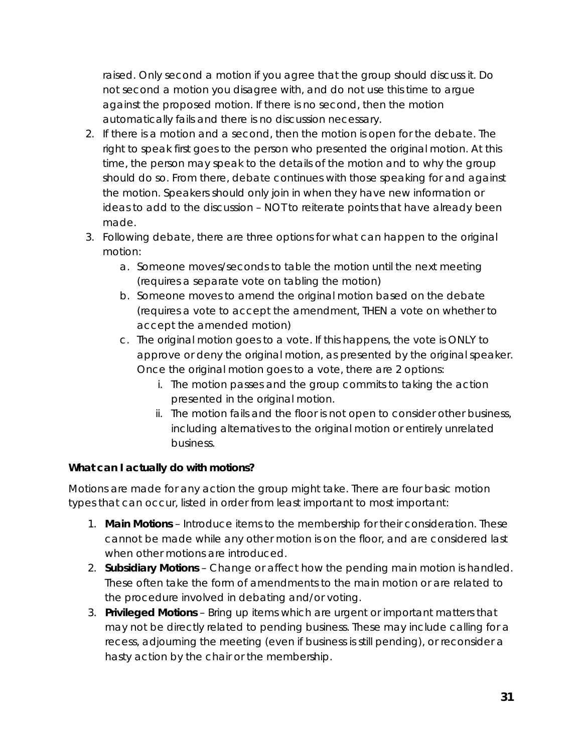raised. Only second a motion if you agree that the group should discuss it. Do not second a motion you disagree with, and do not use this time to argue against the proposed motion. If there is no second, then the motion automatically fails and there is no discussion necessary.

- 2. If there is a motion and a second, then the motion is open for the debate. The right to speak first goes to the person who presented the original motion. At this time, the person may speak to the details of the motion and to why the group should do so. From there, debate continues with those speaking for and against the motion. Speakers should only join in when they have new information or ideas to add to the discussion – NOT to reiterate points that have already been made.
- 3. Following debate, there are three options for what can happen to the original motion:
	- a. Someone moves/seconds to table the motion until the next meeting (requires a separate vote on tabling the motion)
	- b. Someone moves to amend the original motion based on the debate (requires a vote to accept the amendment, THEN a vote on whether to accept the amended motion)
	- c. The original motion goes to a vote. If this happens, the vote is ONLY to approve or deny the original motion, as presented by the original speaker. Once the original motion goes to a vote, there are 2 options:
		- i. The motion passes and the group commits to taking the action presented in the original motion.
		- ii. The motion fails and the floor is not open to consider other business, including alternatives to the original motion or entirely unrelated business.

#### **What can I actually do with motions?**

Motions are made for any action the group might take. There are four basic motion types that can occur, listed in order from least important to most important:

- 1. **Main Motions** Introduce items to the membership for their consideration. These cannot be made while any other motion is on the floor, and are considered last when other motions are introduced.
- 2. **Subsidiary Motions** Change or affect how the pending main motion is handled. These often take the form of amendments to the main motion or are related to the procedure involved in debating and/or voting.
- 3. **Privileged Motions** Bring up items which are urgent or important matters that may not be directly related to pending business. These may include calling for a recess, adjourning the meeting (even if business is still pending), or reconsider a hasty action by the chair or the membership.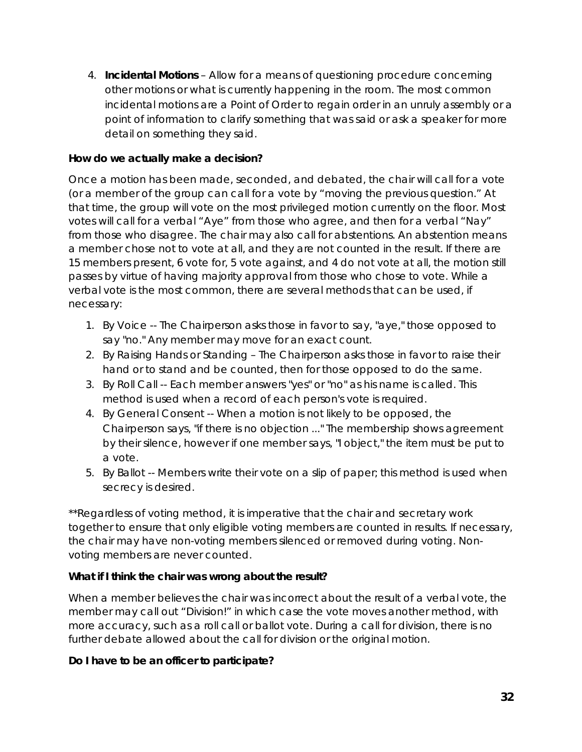4. **Incidental Motions** – Allow for a means of questioning procedure concerning other motions or what is currently happening in the room. The most common incidental motions are a Point of Order to regain order in an unruly assembly or a point of information to clarify something that was said or ask a speaker for more detail on something they said.

#### **How do we actually make a decision?**

Once a motion has been made, seconded, and debated, the chair will call for a vote (or a member of the group can call for a vote by "moving the previous question." At that time, the group will vote on the most privileged motion currently on the floor. Most votes will call for a verbal "Aye" from those who agree, and then for a verbal "Nay" from those who disagree. The chair may also call for abstentions. An abstention means a member chose not to vote at all, and they are not counted in the result. If there are 15 members present, 6 vote for, 5 vote against, and 4 do not vote at all, the motion still passes by virtue of having majority approval from those who chose to vote. While a verbal vote is the most common, there are several methods that can be used, if necessary:

- 1. By Voice -- The Chairperson asks those in favor to say, "aye," those opposed to say "no." Any member may move for an exact count.
- 2. By Raising Hands or Standing The Chairperson asks those in favor to raise their hand or to stand and be counted, then for those opposed to do the same.
- 3. By Roll Call -- Each member answers "yes" or "no" as his name is called. This method is used when a record of each person's vote is required.
- 4. By General Consent -- When a motion is not likely to be opposed, the Chairperson says, "if there is no objection ..." The membership shows agreement by their silence, however if one member says, "I object," the item must be put to a vote.
- 5. By Ballot -- Members write their vote on a slip of paper; this method is used when secrecy is desired.

*\*\*Regardless of voting method, it is imperative that the chair and secretary work together to ensure that only eligible voting members are counted in results. If necessary, the chair may have non-voting members silenced or removed during voting. Nonvoting members are never counted.*

#### **What if I think the chair was wrong about the result?**

When a member believes the chair was incorrect about the result of a verbal vote, the member may call out "Division!" in which case the vote moves another method, with more accuracy, such as a roll call or ballot vote. During a call for division, there is no further debate allowed about the call for division or the original motion.

#### **Do I have to be an officer to participate?**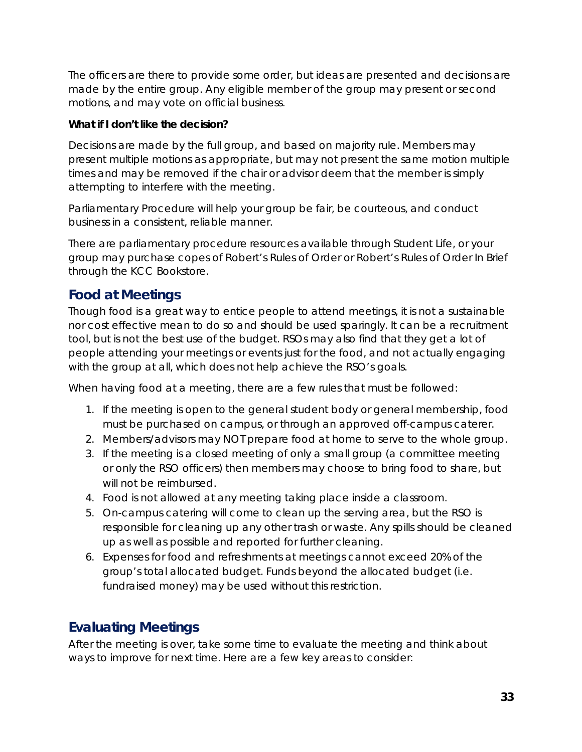The officers are there to provide some order, but ideas are presented and decisions are made by the entire group. Any eligible member of the group may present or second motions, and may vote on official business.

#### **What if I don't like the decision?**

Decisions are made by the full group, and based on majority rule. Members may present multiple motions as appropriate, but may not present the same motion multiple times and may be removed if the chair or advisor deem that the member is simply attempting to interfere with the meeting.

Parliamentary Procedure will help your group be fair, be courteous, and conduct business in a consistent, reliable manner.

There are parliamentary procedure resources available through Student Life, or your group may purchase copes of *Robert's Rules of Order* or *Robert's Rules of Order In Brief* through the KCC Bookstore.

# <span id="page-32-0"></span>**Food at Meetings**

Though food is a great way to entice people to attend meetings, it is not a sustainable nor cost effective mean to do so and should be used sparingly. It can be a recruitment tool, but is not the best use of the budget. RSOs may also find that they get a lot of people attending your meetings or events just for the food, and not actually engaging with the group at all, which does not help achieve the RSO's goals.

When having food at a meeting, there are a few rules that must be followed:

- 1. If the meeting is open to the general student body or general membership, food must be purchased on campus, or through an approved off-campus caterer.
- 2. Members/advisors may NOT prepare food at home to serve to the whole group.
- 3. If the meeting is a closed meeting of only a small group (a committee meeting or only the RSO officers) then members may choose to bring food to share, but will not be reimbursed.
- 4. Food is not allowed at any meeting taking place inside a classroom.
- 5. On-campus catering will come to clean up the serving area, but the RSO is responsible for cleaning up any other trash or waste. Any spills should be cleaned up as well as possible and reported for further cleaning.
- 6. Expenses for food and refreshments at meetings cannot exceed 20% of the group's total allocated budget. Funds beyond the allocated budget (i.e. fundraised money) may be used without this restriction.

# <span id="page-32-1"></span>**Evaluating Meetings**

After the meeting is over, take some time to evaluate the meeting and think about ways to improve for next time. Here are a few key areas to consider: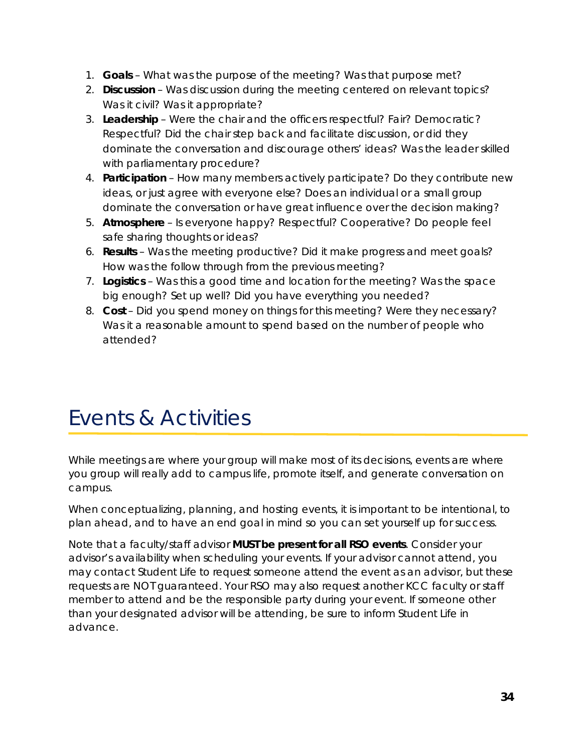- 1. **Goals** What was the purpose of the meeting? Was that purpose met?
- 2. **Discussion** Was discussion during the meeting centered on relevant topics? Was it civil? Was it appropriate?
- 3. **Leadership** Were the chair and the officers respectful? Fair? Democratic? Respectful? Did the chair step back and facilitate discussion, or did they dominate the conversation and discourage others' ideas? Was the leader skilled with parliamentary procedure?
- 4. **Participation** How many members actively participate? Do they contribute new ideas, or just agree with everyone else? Does an individual or a small group dominate the conversation or have great influence over the decision making?
- 5. **Atmosphere** Is everyone happy? Respectful? Cooperative? Do people feel safe sharing thoughts or ideas?
- 6. **Results** Was the meeting productive? Did it make progress and meet goals? How was the follow through from the previous meeting?
- 7. **Logistics** Was this a good time and location for the meeting? Was the space big enough? Set up well? Did you have everything you needed?
- 8. **Cost** Did you spend money on things for this meeting? Were they necessary? Was it a reasonable amount to spend based on the number of people who attended?

# <span id="page-33-0"></span>Events & Activities

While meetings are where your group will make most of its decisions, events are where you group will really add to campus life, promote itself, and generate conversation on campus.

When conceptualizing, planning, and hosting events, it is important to be intentional, to plan ahead, and to have an end goal in mind so you can set yourself up for success.

Note that a faculty/staff advisor **MUST be present for all RSO events**. Consider your advisor's availability when scheduling your events. If your advisor cannot attend, you may contact Student Life to request someone attend the event as an advisor, but these requests are NOT guaranteed. Your RSO may also request another KCC faculty or staff member to attend and be the responsible party during your event. If someone other than your designated advisor will be attending, be sure to inform Student Life in advance.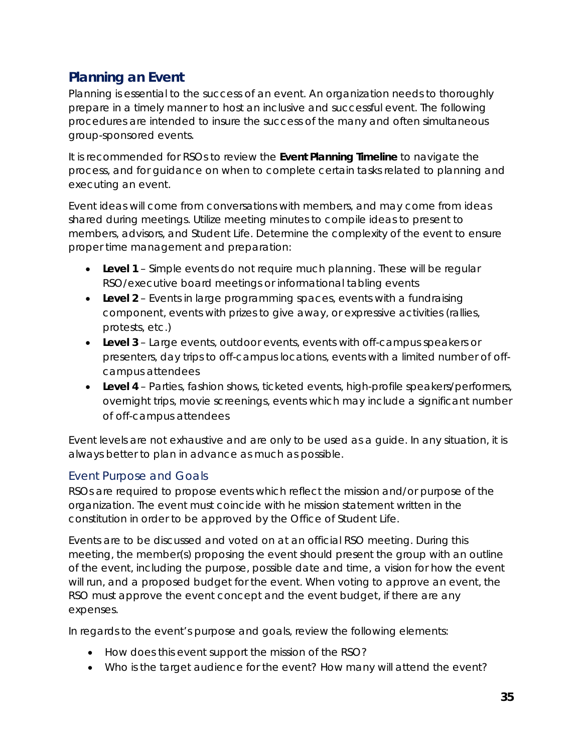# <span id="page-34-0"></span>**Planning an Event**

Planning is essential to the success of an event. An organization needs to thoroughly prepare in a timely manner to host an inclusive and successful event. The following procedures are intended to insure the success of the many and often simultaneous group-sponsored events.

It is recommended for RSOs to review the **Event Planning Timeline** to navigate the process, and for guidance on when to complete certain tasks related to planning and executing an event.

Event ideas will come from conversations with members, and may come from ideas shared during meetings. Utilize meeting minutes to compile ideas to present to members, advisors, and Student Life. Determine the complexity of the event to ensure proper time management and preparation:

- **Level 1** Simple events do not require much planning. These will be regular RSO/executive board meetings or informational tabling events
- **Level 2** Events in large programming spaces, events with a fundraising component, events with prizes to give away, or expressive activities (rallies, protests, etc.)
- **Level 3** Large events, outdoor events, events with off-campus speakers or presenters, day trips to off-campus locations, events with a limited number of offcampus attendees
- **Level 4** Parties, fashion shows, ticketed events, high-profile speakers/performers, overnight trips, movie screenings, events which may include a significant number of off-campus attendees

Event levels are not exhaustive and are only to be used as a guide. In any situation, it is always better to plan in advance as much as possible.

#### <span id="page-34-1"></span>Event Purpose and Goals

RSOs are required to propose events which reflect the mission and/or purpose of the organization. The event must coincide with he mission statement written in the constitution in order to be approved by the Office of Student Life.

Events are to be discussed and voted on at an official RSO meeting. During this meeting, the member(s) proposing the event should present the group with an outline of the event, including the purpose, possible date and time, a vision for how the event will run, and a proposed budget for the event. When voting to approve an event, the RSO must approve the event concept and the event budget, if there are any expenses.

In regards to the event's purpose and goals, review the following elements:

- How does this event support the mission of the RSO?
- Who is the target audience for the event? How many will attend the event?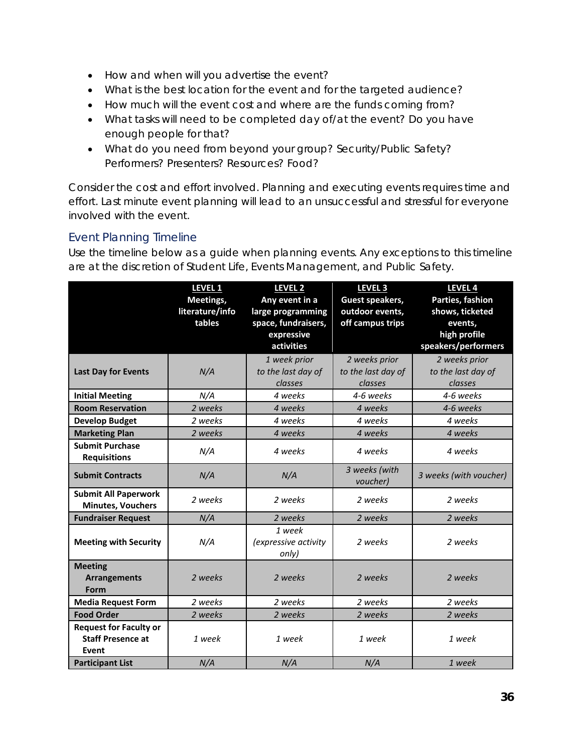- How and when will you advertise the event?
- What is the best location for the event and for the targeted audience?
- How much will the event cost and where are the funds coming from?
- What tasks will need to be completed day of/at the event? Do you have enough people for that?
- What do you need from beyond your group? Security/Public Safety? Performers? Presenters? Resources? Food?

Consider the cost and effort involved. Planning and executing events requires time and effort. Last minute event planning will lead to an unsuccessful and stressful for everyone involved with the event.

#### <span id="page-35-0"></span>Event Planning Timeline

Use the timeline below as a guide when planning events. Any exceptions to this timeline are at the discretion of Student Life, Events Management, and Public Safety.

|                                                                    | <b>LEVEL 1</b><br>Meetings,<br>literature/info<br>tables | LEVEL <sub>2</sub><br>Any event in a<br>large programming<br>space, fundraisers,<br>expressive<br>activities | LEVEL <sub>3</sub><br><b>Guest speakers,</b><br>outdoor events,<br>off campus trips | LEVEL 4<br>Parties, fashion<br>shows, ticketed<br>events,<br>high profile<br>speakers/performers |
|--------------------------------------------------------------------|----------------------------------------------------------|--------------------------------------------------------------------------------------------------------------|-------------------------------------------------------------------------------------|--------------------------------------------------------------------------------------------------|
| <b>Last Day for Events</b>                                         | N/A                                                      | 1 week prior<br>to the last day of<br>classes                                                                | 2 weeks prior<br>to the last day of<br>classes                                      | 2 weeks prior<br>to the last day of<br>classes                                                   |
| <b>Initial Meeting</b>                                             | N/A                                                      | 4 weeks                                                                                                      | 4-6 weeks                                                                           | 4-6 weeks                                                                                        |
| <b>Room Reservation</b>                                            | 2 weeks                                                  | 4 weeks                                                                                                      | 4 weeks                                                                             | 4-6 weeks                                                                                        |
| <b>Develop Budget</b>                                              | 2 weeks                                                  | 4 weeks                                                                                                      | 4 weeks                                                                             | 4 weeks                                                                                          |
| <b>Marketing Plan</b>                                              | 2 weeks                                                  | 4 weeks                                                                                                      | 4 weeks                                                                             | 4 weeks                                                                                          |
| <b>Submit Purchase</b><br><b>Requisitions</b>                      | N/A                                                      | 4 weeks                                                                                                      | 4 weeks                                                                             | 4 weeks                                                                                          |
| <b>Submit Contracts</b>                                            | N/A                                                      | N/A                                                                                                          | 3 weeks (with<br>voucher)                                                           | 3 weeks (with voucher)                                                                           |
| <b>Submit All Paperwork</b><br><b>Minutes, Vouchers</b>            | 2 weeks                                                  | 2 weeks                                                                                                      | 2 weeks                                                                             | 2 weeks                                                                                          |
| <b>Fundraiser Request</b>                                          | N/A                                                      | 2 weeks                                                                                                      | 2 weeks                                                                             | 2 weeks                                                                                          |
| <b>Meeting with Security</b>                                       | N/A                                                      | 1 week<br>(expressive activity<br>only)                                                                      | 2 weeks                                                                             | 2 weeks                                                                                          |
| <b>Meeting</b><br><b>Arrangements</b><br>Form                      | 2 weeks                                                  | 2 weeks                                                                                                      | 2 weeks                                                                             | 2 weeks                                                                                          |
| <b>Media Request Form</b>                                          | 2 weeks                                                  | 2 weeks                                                                                                      | 2 weeks                                                                             | 2 weeks                                                                                          |
| <b>Food Order</b>                                                  | 2 weeks                                                  | 2 weeks                                                                                                      | 2 weeks                                                                             | 2 weeks                                                                                          |
| <b>Request for Faculty or</b><br><b>Staff Presence at</b><br>Event | 1 week                                                   | 1 week                                                                                                       | 1 week                                                                              | 1 week                                                                                           |
| <b>Participant List</b>                                            | N/A                                                      | N/A                                                                                                          | N/A                                                                                 | 1 week                                                                                           |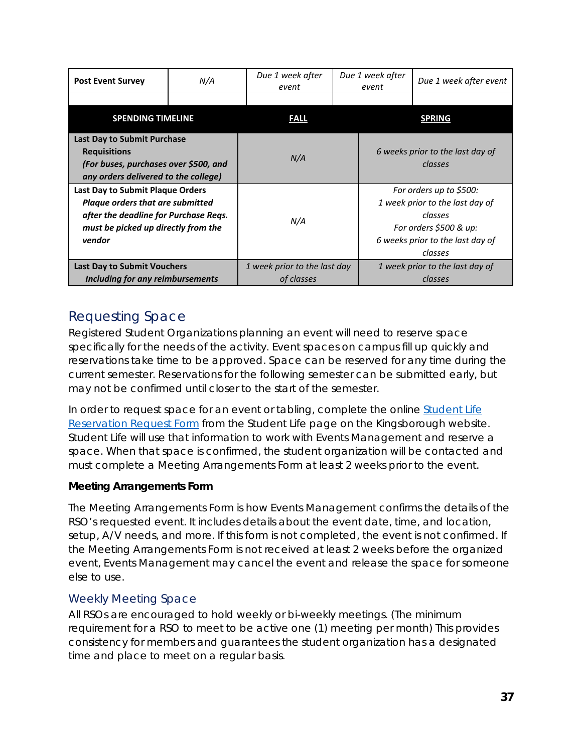| <b>Post Event Survey</b>                                                                                                                                                     | N/A | Due 1 week after<br>event                  | Due 1 week after<br>Due 1 week after event<br>event                                                                                            |  |
|------------------------------------------------------------------------------------------------------------------------------------------------------------------------------|-----|--------------------------------------------|------------------------------------------------------------------------------------------------------------------------------------------------|--|
|                                                                                                                                                                              |     |                                            |                                                                                                                                                |  |
| <b>SPENDING TIMELINE</b>                                                                                                                                                     |     | <b>FALL</b>                                | <b>SPRING</b>                                                                                                                                  |  |
| <b>Last Day to Submit Purchase</b><br><b>Requisitions</b><br>(For buses, purchases over \$500, and<br>any orders delivered to the college)                                   |     | N/A                                        | 6 weeks prior to the last day of<br>classes                                                                                                    |  |
| <b>Last Day to Submit Plaque Orders</b><br><b>Plaque orders that are submitted</b><br>after the deadline for Purchase Reqs.<br>must be picked up directly from the<br>vendor |     | N/A                                        | For orders up to \$500:<br>1 week prior to the last day of<br>classes<br>For orders \$500 & up:<br>6 weeks prior to the last day of<br>classes |  |
| <b>Last Day to Submit Vouchers</b><br>Including for any reimbursements                                                                                                       |     | 1 week prior to the last day<br>of classes | 1 week prior to the last day of<br>classes                                                                                                     |  |

# <span id="page-36-0"></span>Requesting Space

Registered Student Organizations planning an event will need to reserve space specifically for the needs of the activity. Event spaces on campus fill up quickly and reservations take time to be approved. Space can be reserved for any time during the current semester. Reservations for the following semester can be submitted early, but may not be confirmed until closer to the start of the semester.

In order to request space for an event or tabling, complete the online [Student Life](http://www.kbcc.cuny.edu/Projects/studlife/Pages/resreq.aspx)  [Reservation Request Form](http://www.kbcc.cuny.edu/Projects/studlife/Pages/resreq.aspx) from the Student Life page on the Kingsborough website. Student Life will use that information to work with Events Management and reserve a space. When that space is confirmed, the student organization will be contacted and must complete a Meeting Arrangements Form at least 2 weeks prior to the event.

#### **Meeting Arrangements Form**

The Meeting Arrangements Form is how Events Management confirms the details of the RSO's requested event. It includes details about the event date, time, and location, setup, A/V needs, and more. *If this form is not completed, the event is not confirmed.* If the Meeting Arrangements Form is not received at least 2 weeks before the organized event, Events Management may cancel the event and release the space for someone else to use.

### <span id="page-36-1"></span>Weekly Meeting Space

All RSOs are encouraged to hold weekly or bi-weekly meetings. (The minimum requirement for a RSO to meet to be active one (1) meeting per month) This provides consistency for members and guarantees the student organization has a designated time and place to meet on a regular basis.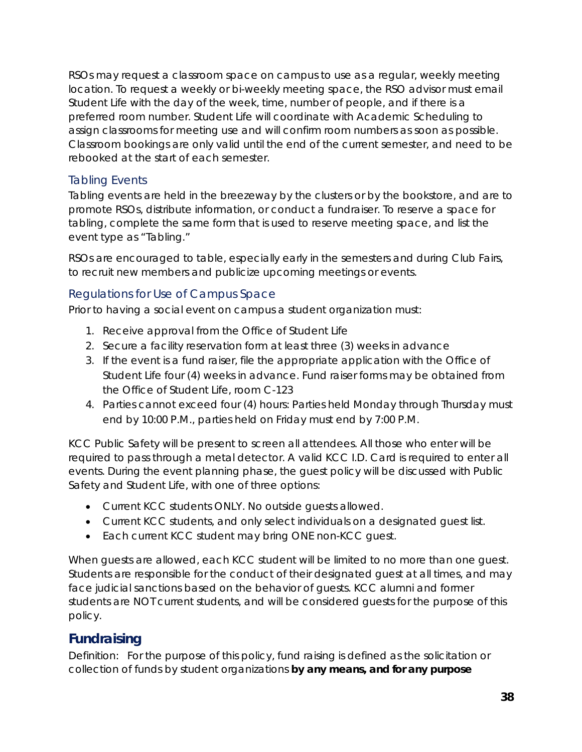RSOs may request a classroom space on campus to use as a regular, weekly meeting location. To request a weekly or bi-weekly meeting space, the RSO advisor must email Student Life with the day of the week, time, number of people, and if there is a preferred room number. Student Life will coordinate with Academic Scheduling to assign classrooms for meeting use and will confirm room numbers as soon as possible. *Classroom bookings are only valid until the end of the current semester, and need to be rebooked at the start of each semester.*

#### <span id="page-37-0"></span>Tabling Events

Tabling events are held in the breezeway by the clusters or by the bookstore, and are to promote RSOs, distribute information, or conduct a fundraiser. To reserve a space for tabling, complete the same form that is used to reserve meeting space, and list the event type as "Tabling."

RSOs are encouraged to table, especially early in the semesters and during Club Fairs, to recruit new members and publicize upcoming meetings or events.

#### <span id="page-37-1"></span>Regulations for Use of Campus Space

Prior to having a social event on campus a student organization must:

- 1. Receive approval from the Office of Student Life
- 2. Secure a facility reservation form at least three (3) weeks in advance
- 3. If the event is a fund raiser, file the appropriate application with the Office of Student Life four (4) weeks in advance. Fund raiser forms may be obtained from the Office of Student Life, room C-123
- 4. Parties cannot exceed four (4) hours: Parties held Monday through Thursday must end by 10:00 P.M., parties held on Friday must end by 7:00 P.M.

KCC Public Safety will be present to screen all attendees. All those who enter will be required to pass through a metal detector. A valid KCC I.D. Card is required to enter all events. During the event planning phase, the guest policy will be discussed with Public Safety and Student Life, with one of three options:

- Current KCC students ONLY. No outside guests allowed.
- Current KCC students, and only select individuals on a designated guest list.
- Each current KCC student may bring ONE non-KCC guest.

When guests are allowed, each KCC student will be limited to no more than one guest. Students are responsible for the conduct of their designated guest at all times, and may face judicial sanctions based on the behavior of guests. KCC alumni and former students are NOT current students, and will be considered guests for the purpose of this policy.

### <span id="page-37-2"></span>**Fundraising**

*Definition:* For the purpose of this policy, fund raising is defined as the solicitation or collection of funds by student organizations **by any means, and for any purpose**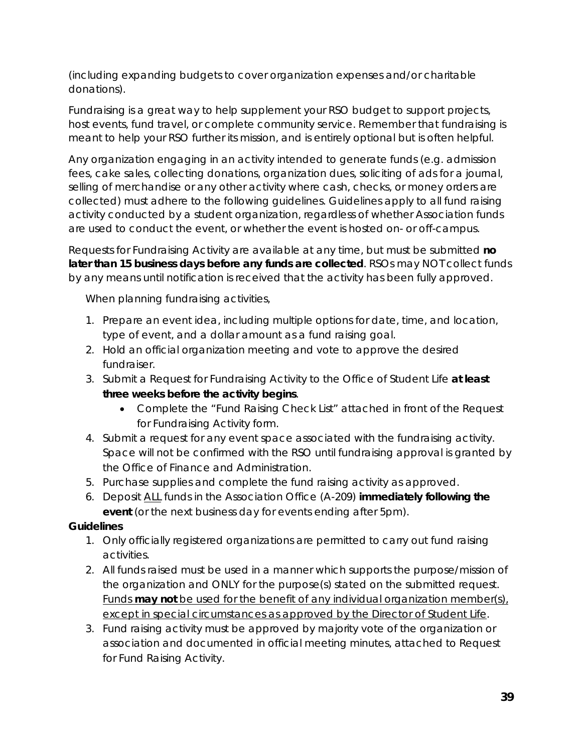(including expanding budgets to cover organization expenses and/or charitable donations).

Fundraising is a great way to help supplement your RSO budget to support projects, host events, fund travel, or complete community service. Remember that fundraising is meant to help your RSO further its mission, and is entirely optional but is often helpful.

Any organization engaging in an activity intended to generate funds (e.g. admission fees, cake sales, collecting donations, organization dues, soliciting of ads for a journal, selling of merchandise or any other activity where cash, checks, or money orders are collected) must adhere to the following guidelines. Guidelines apply to all fund raising activity conducted by a student organization, regardless of whether Association funds are used to conduct the event, or whether the event is hosted on- or off-campus.

Requests for Fundraising Activity are available at any time, but must be submitted **no later than 15 business days before any funds are collected**. RSOs may NOT collect funds by any means until notification is received that the activity has been fully approved.

When planning fundraising activities,

- 1. Prepare an event idea, including multiple options for date, time, and location, type of event, and a dollar amount as a fund raising goal.
- 2. Hold an official organization meeting and vote to approve the desired fundraiser.
- 3. Submit a Request for Fundraising Activity to the Office of Student Life **at least three weeks before the activity begins**.
	- Complete the "Fund Raising Check List" attached in front of the Request for Fundraising Activity form.
- 4. Submit a request for any event space associated with the fundraising activity. Space will not be confirmed with the RSO until fundraising approval is granted by the Office of Finance and Administration.
- 5. Purchase supplies and complete the fund raising activity as approved.
- 6. Deposit ALL funds in the Association Office (A-209) **immediately following the event** (or the next business day for events ending after 5pm).

#### **Guidelines**

- 1. Only officially registered organizations are permitted to carry out fund raising activities.
- 2. All funds raised must be used in a manner which supports the purpose/mission of the organization and ONLY for the purpose(s) stated on the submitted request. Funds **may not** be used for the benefit of any individual organization member(s), except in special circumstances as approved by the Director of Student Life.
- 3. Fund raising activity must be approved by majority vote of the organization or association and documented in official meeting minutes, attached to Request for Fund Raising Activity.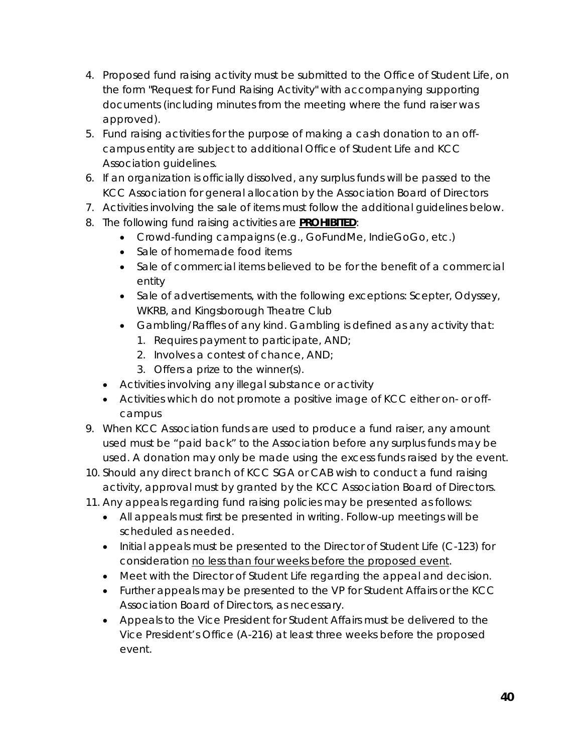- 4. Proposed fund raising activity must be submitted to the Office of Student Life, on the form "Request for Fund Raising Activity" with accompanying supporting documents (including minutes from the meeting where the fund raiser was approved).
- 5. Fund raising activities for the purpose of making a cash donation to an offcampus entity are subject to additional Office of Student Life and KCC Association guidelines.
- 6. If an organization is officially dissolved, any surplus funds will be passed to the KCC Association for general allocation by the Association Board of Directors
- 7. Activities involving the sale of items must follow the additional guidelines below.
- 8. The following fund raising activities are **PROHIBITED**:
	- Crowd-funding campaigns (e.g., GoFundMe, IndieGoGo, etc.)
	- Sale of homemade food items
	- Sale of commercial items believed to be for the benefit of a commercial entity
	- Sale of advertisements, with the following exceptions: Scepter, Odyssey, WKRB, and Kingsborough Theatre Club
	- Gambling/Raffles of any kind. Gambling is defined as any activity that:
		- 1. Requires payment to participate, AND;
		- 2. Involves a contest of chance, AND;
		- 3. Offers a prize to the winner(s).
	- Activities involving any illegal substance or activity
	- Activities which do not promote a positive image of KCC either on- or offcampus
- 9. When KCC Association funds are used to produce a fund raiser, any amount used must be "paid back" to the Association before any surplus funds may be used. A donation may only be made using the excess funds raised by the event.
- 10. Should any direct branch of KCC SGA or CAB wish to conduct a fund raising activity, approval must by granted by the KCC Association Board of Directors.
- 11. Any appeals regarding fund raising policies may be presented as follows:
	- All appeals must first be presented in writing. Follow-up meetings will be scheduled as needed.
	- Initial appeals must be presented to the Director of Student Life (C-123) for consideration no less than four weeks before the proposed event.
	- Meet with the Director of Student Life regarding the appeal and decision.
	- Further appeals may be presented to the VP for Student Affairs or the KCC Association Board of Directors, as necessary.
	- Appeals to the Vice President for Student Affairs must be delivered to the Vice President's Office (A-216) at least three weeks before the proposed event.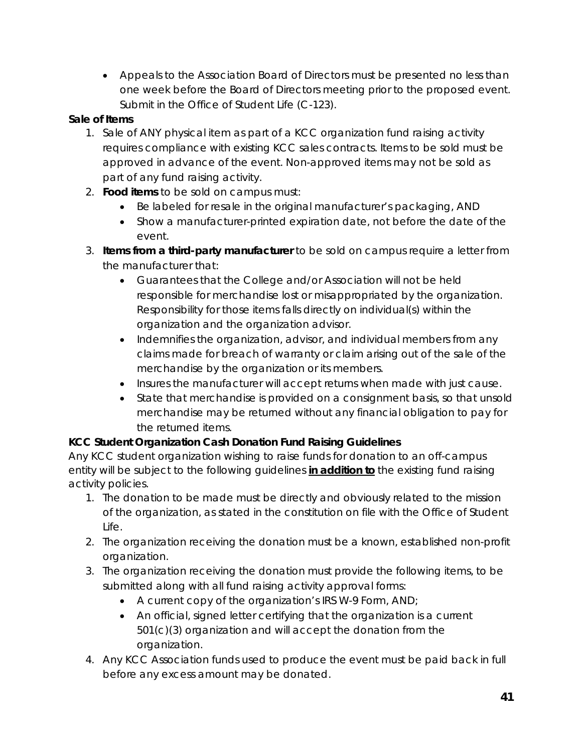• Appeals to the Association Board of Directors must be presented no less than one week before the Board of Directors meeting prior to the proposed event. Submit in the Office of Student Life (C-123).

#### **Sale of Items**

- 1. Sale of ANY physical item as part of a KCC organization fund raising activity requires compliance with existing KCC sales contracts. Items to be sold must be approved in advance of the event. Non-approved items may not be sold as part of any fund raising activity.
- 2. **Food items** to be sold on campus must:
	- Be labeled for resale in the original manufacturer's packaging, AND
	- Show a manufacturer-printed expiration date, not before the date of the event.
- 3. **Items from a third-party manufacturer** to be sold on campus require a letter from the manufacturer that:
	- Guarantees that the College and/or Association will not be held responsible for merchandise lost or misappropriated by the organization. Responsibility for those items falls directly on individual(s) within the organization and the organization advisor.
	- Indemnifies the organization, advisor, and individual members from any claims made for breach of warranty or claim arising out of the sale of the merchandise by the organization or its members.
	- Insures the manufacturer will accept returns when made with just cause.
	- State that merchandise is provided on a consignment basis, so that unsold merchandise may be returned without any financial obligation to pay for the returned items.

#### **KCC Student Organization Cash Donation Fund Raising Guidelines**

Any KCC student organization wishing to raise funds for donation to an off-campus entity will be subject to the following guidelines **in addition to** the existing fund raising activity policies.

- 1. The donation to be made must be directly and obviously related to the mission of the organization, as stated in the constitution on file with the Office of Student Life.
- 2. The organization receiving the donation must be a known, established non-profit organization.
- 3. The organization receiving the donation must provide the following items, to be submitted along with all fund raising activity approval forms:
	- A current copy of the organization's IRS W-9 Form, AND;
	- An official, signed letter certifying that the organization is a current 501(c)(3) organization and will accept the donation from the organization.
- 4. Any KCC Association funds used to produce the event must be paid back in full before any excess amount may be donated.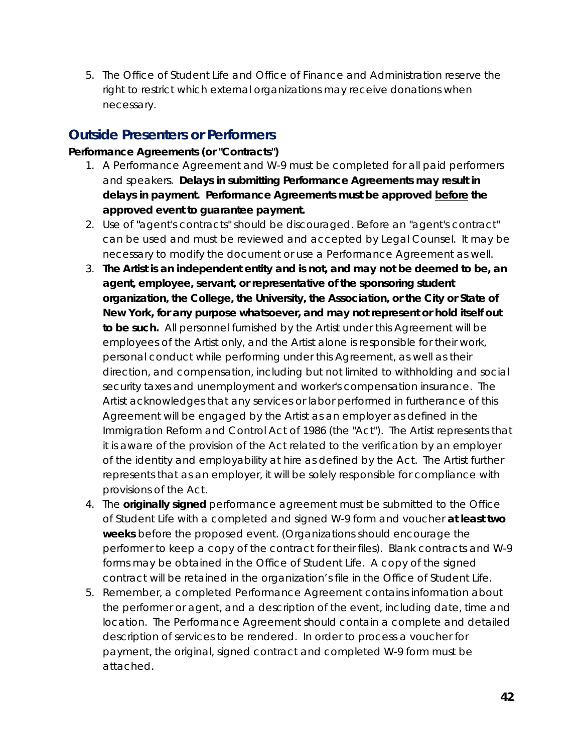5. The Office of Student Life and Office of Finance and Administration reserve the right to restrict which external organizations may receive donations when necessary.

### <span id="page-41-0"></span>**Outside Presenters or Performers**

#### **Performance Agreements (or "Contracts")**

- 1. A Performance Agreement and W-9 must be completed for all paid performers and speakers. **Delays in submitting Performance Agreements may result in delays in payment. Performance Agreements must be approved before the approved event to guarantee payment.**
- 2. Use of "agent's contracts" should be discouraged. Before an "agent's contract" can be used and must be reviewed and accepted by Legal Counsel. It may be necessary to modify the document or use a Performance Agreement as well.
- 3. **The Artist is an independent entity and is not, and may not be deemed to be, an agent, employee, servant, or representative of the sponsoring student organization, the College, the University, the Association, or the City or State of New York, for any purpose whatsoever, and may not represent or hold itself out to be such.** All personnel furnished by the Artist under this Agreement will be employees of the Artist only, and the Artist alone is responsible for their work, personal conduct while performing under this Agreement, as well as their direction, and compensation, including but not limited to withholding and social security taxes and unemployment and worker's compensation insurance. The Artist acknowledges that any services or labor performed in furtherance of this Agreement will be engaged by the Artist as an employer as defined in the Immigration Reform and Control Act of 1986 (the "Act"). The Artist represents that it is aware of the provision of the Act related to the verification by an employer of the identity and employability at hire as defined by the Act. The Artist further represents that as an employer, it will be solely responsible for compliance with provisions of the Act.
- 4. The **originally signed** performance agreement must be submitted to the Office of Student Life with a completed and signed W-9 form and voucher **at least two weeks** before the proposed event. (Organizations should encourage the performer to keep a copy of the contract for their files). Blank contracts and W-9 forms may be obtained in the Office of Student Life. A copy of the signed contract will be retained in the organization's file in the Office of Student Life.
- 5. Remember, a completed Performance Agreement contains information about the performer or agent, and a description of the event, including date, time and location. The Performance Agreement should contain a complete and detailed description of services to be rendered. In order to process a voucher for payment, the original, signed contract and completed W-9 form must be attached.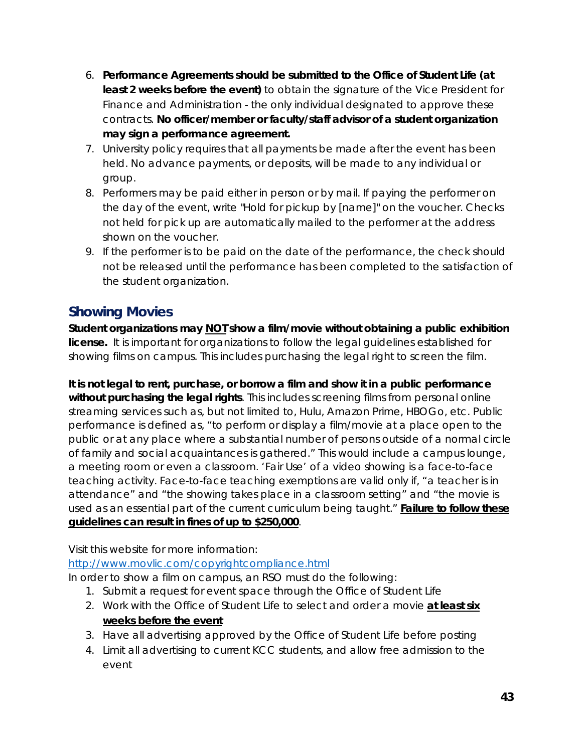- 6. **Performance Agreements should be submitted to the Office of Student Life (at least 2 weeks before the event)** to obtain the signature of the Vice President for Finance and Administration - the only individual designated to approve these contracts. **No officer/member or faculty/staff advisor of a student organization may sign a performance agreement.**
- 7. University policy requires that all payments be made after the event has been held. No advance payments, or deposits, will be made to any individual or group.
- 8. Performers may be paid either in person or by mail. If paying the performer on the day of the event, write "Hold for pickup by [name]" on the voucher. Checks not held for pick up are automatically mailed to the performer at the address shown on the voucher.
- 9. If the performer is to be paid on the date of the performance, the check should not be released until the performance has been completed to the satisfaction of the student organization.

# <span id="page-42-0"></span>**Showing Movies**

**Student organizations may NOT show a film/movie without obtaining a public exhibition license.** It is important for organizations to follow the legal guidelines established for showing films on campus. This includes purchasing the legal right to screen the film.

**It is not legal to rent, purchase, or borrow a film and show it in a public performance without purchasing the legal rights**. This includes screening films from personal online streaming services such as, but not limited to, Hulu, Amazon Prime, HBOGo, etc. Public performance is defined as, "to perform or display a film/movie at a place open to the public or at any place where a substantial number of persons outside of a normal circle of family and social acquaintances is gathered." This would include a campus lounge, a meeting room or even a classroom. 'Fair Use' of a video showing is a face-to-face teaching activity. Face-to-face teaching exemptions are valid only if, "a teacher is in attendance" and "the showing takes place in a classroom setting" and "the movie is used as an essential part of the current curriculum being taught." **Failure to follow these guidelines can result in fines of up to \$250,000**.

Visit this website for more information:

<http://www.movlic.com/copyrightcompliance.html>

In order to show a film on campus, an RSO must do the following:

- 1. Submit a request for event space through the Office of Student Life
- 2. Work with the Office of Student Life to select and order a movie **at least six weeks before the event**
- 3. Have all advertising approved by the Office of Student Life before posting
- 4. Limit all advertising to current KCC students, and allow free admission to the event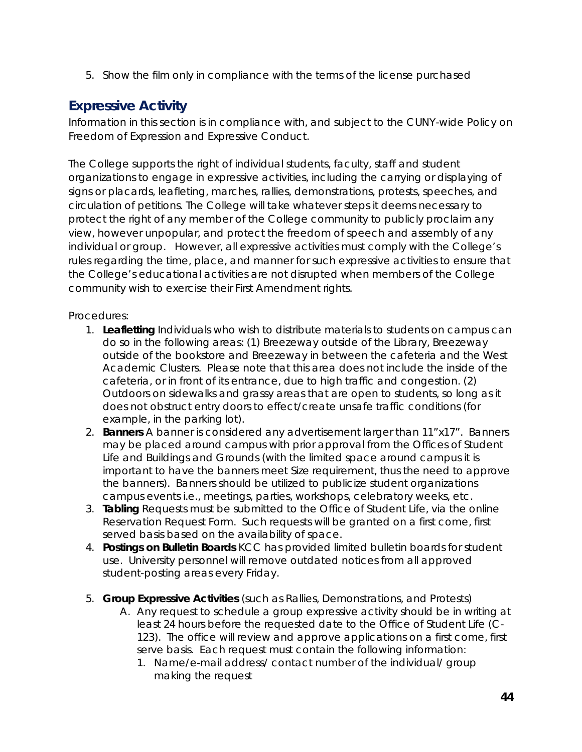5. Show the film only in compliance with the terms of the license purchased

# <span id="page-43-0"></span>**Expressive Activity**

Information in this section is in compliance with, and subject to the CUNY-wide Policy on Freedom of Expression and Expressive Conduct.

The College supports the right of individual students, faculty, staff and student organizations to engage in expressive activities, including the carrying or displaying of signs or placards, leafleting, marches, rallies, demonstrations, protests, speeches, and circulation of petitions. The College will take whatever steps it deems necessary to protect the right of any member of the College community to publicly proclaim any view, however unpopular, and protect the freedom of speech and assembly of any individual or group. However, all expressive activities must comply with the College's rules regarding the time, place, and manner for such expressive activities to ensure that the College's educational activities are not disrupted when members of the College community wish to exercise their First Amendment rights.

Procedures:

- 1. **Leafletting** Individuals who wish to distribute materials to students on campus can do so in the following areas: (1) Breezeway outside of the Library, Breezeway outside of the bookstore and Breezeway in between the cafeteria and the West Academic Clusters. Please note that this area does not include the inside of the cafeteria, or in front of its entrance, due to high traffic and congestion. (2) Outdoors on sidewalks and grassy areas that are open to students, so long as it does not obstruct entry doors to effect/create unsafe traffic conditions (for example, in the parking lot).
- 2. **Banners** A banner is considered any advertisement larger than 11"x17". Banners may be placed around campus with prior approval from the Offices of Student Life and Buildings and Grounds (with *the limited space around campus it is important to have the banners meet Size requirement, thus the need to approve the banners*). Banners should be utilized to publicize student organizations campus events i.e., meetings, parties, workshops, celebratory weeks, etc.
- 3. **Tabling** Requests must be submitted to the Office of Student Life, via the online Reservation Request Form. Such requests will be granted on a first come, first served basis based on the availability of space.
- 4. **Postings on Bulletin Boards** KCC has provided limited bulletin boards for student use. University personnel will remove outdated notices from all approved student-posting areas every Friday.
- 5. **Group Expressive Activities** (such as Rallies, Demonstrations, and Protests)
	- A. Any request to schedule a group expressive activity should be in writing at least 24 hours before the requested date to the Office of Student Life (C-123). The office will review and approve applications on a first come, first serve basis. Each request must contain the following information:
		- 1. Name/e-mail address/ contact number of the individual/ group making the request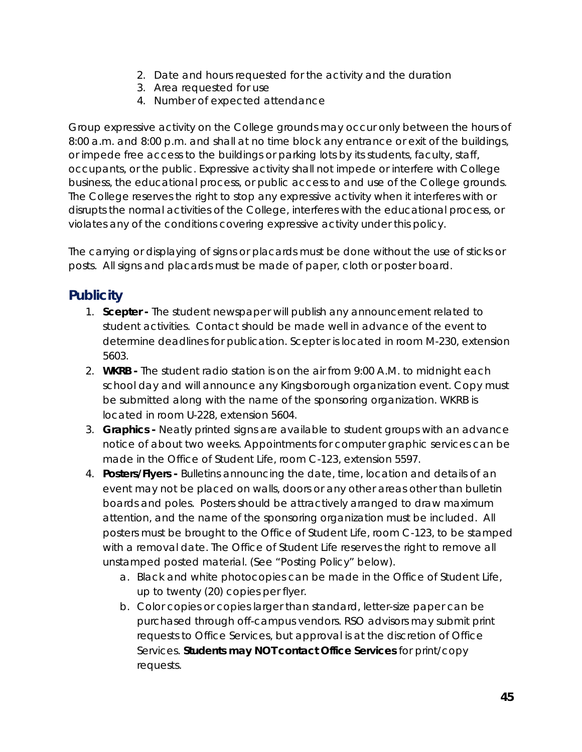- 2. Date and hours requested for the activity and the duration
- 3. Area requested for use
- 4. Number of expected attendance

Group expressive activity on the College grounds may occur only between the hours of 8:00 a.m. and 8:00 p.m. and shall at no time block any entrance or exit of the buildings, or impede free access to the buildings or parking lots by its students, faculty, staff, occupants, or the public. Expressive activity shall not impede or interfere with College business, the educational process, or public access to and use of the College grounds. The College reserves the right to stop any expressive activity when it interferes with or disrupts the normal activities of the College, interferes with the educational process, or violates any of the conditions covering expressive activity under this policy.

The carrying or displaying of signs or placards must be done without the use of sticks or posts. All signs and placards must be made of paper, cloth or poster board.

### <span id="page-44-0"></span>**Publicity**

- 1. **Scepter -** The student newspaper will publish any announcement related to student activities. Contact should be made well in advance of the event to determine deadlines for publication. Scepter is located in room M-230, extension 5603.
- 2. **WKRB -** The student radio station is on the air from 9:00 A.M. to midnight each school day and will announce any Kingsborough organization event. Copy must be submitted along with the name of the sponsoring organization. WKRB is located in room U-228, extension 5604.
- 3. **Graphics -** Neatly printed signs are available to student groups with an advance notice of about two weeks. Appointments for computer graphic services can be made in the Office of Student Life, room C-123, extension 5597.
- 4. **Posters/Flyers -** Bulletins announcing the date, time, location and details of an event may not be placed on walls, doors or any other areas other than bulletin boards and poles. Posters should be attractively arranged to draw maximum attention, and the name of the sponsoring organization must be included. All posters must be brought to the Office of Student Life, room C-123, to be stamped with a removal date. The Office of Student Life reserves the right to remove all unstamped posted material. (See "Posting Policy" below).
	- a. Black and white photocopies can be made in the Office of Student Life, up to twenty (20) copies per flyer.
	- b. Color copies or copies larger than standard, letter-size paper can be purchased through off-campus vendors. RSO advisors may submit print requests to Office Services, but approval is at the discretion of Office Services. **Students may NOT contact Office Services** for print/copy requests.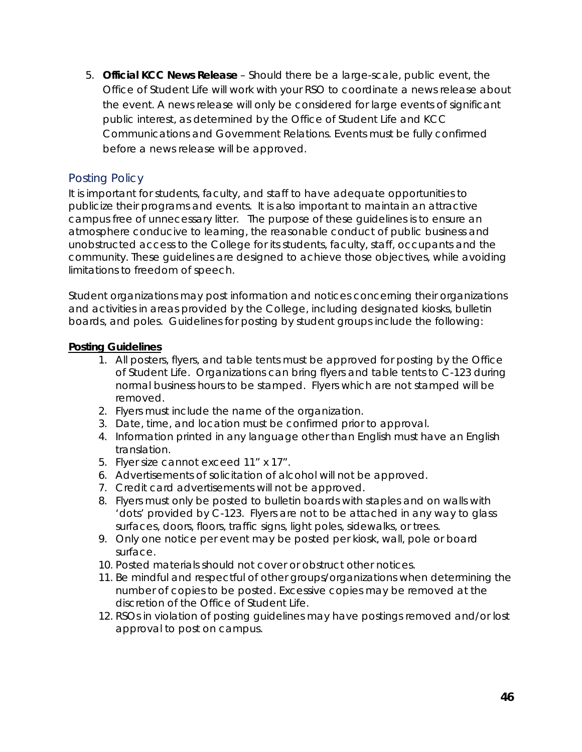5. **Official KCC News Release** – Should there be a large-scale, public event, the Office of Student Life will work with your RSO to coordinate a news release about the event. A news release will only be considered for large events of significant public interest, as determined by the Office of Student Life and KCC Communications and Government Relations. Events must be fully confirmed before a news release will be approved.

#### <span id="page-45-0"></span>Posting Policy

It is important for students, faculty, and staff to have adequate opportunities to publicize their programs and events. It is also important to maintain an attractive campus free of unnecessary litter. The purpose of these guidelines is to ensure an atmosphere conducive to learning, the reasonable conduct of public business and unobstructed access to the College for its students, faculty, staff, occupants and the community. These guidelines are designed to achieve those objectives, while avoiding limitations to freedom of speech.

Student organizations may post information and notices concerning their organizations and activities in areas provided by the College, including designated kiosks, bulletin boards, and poles. Guidelines for posting by student groups include the following:

#### **Posting Guidelines**

- 1. All posters, flyers, and table tents must be approved for posting by the Office of Student Life. Organizations can bring flyers and table tents to C-123 during normal business hours to be stamped. Flyers which are not stamped will be removed.
- 2. Flyers must include the name of the organization.
- 3. Date, time, and location must be confirmed prior to approval.
- 4. Information printed in any language other than English must have an English translation.
- 5. Flyer size cannot exceed 11" x 17".
- 6. Advertisements of solicitation of alcohol will not be approved.
- 7. Credit card advertisements will not be approved.
- 8. Flyers must only be posted to bulletin boards with staples and on walls with 'dots' provided by C-123. Flyers are not to be attached in any way to glass surfaces, doors, floors, traffic signs, light poles, sidewalks, or trees.
- 9. Only one notice per event may be posted per kiosk, wall, pole or board surface.
- 10. Posted materials should not cover or obstruct other notices.
- 11. Be mindful and respectful of other groups/organizations when determining the number of copies to be posted. Excessive copies may be removed at the discretion of the Office of Student Life.
- 12. RSOs in violation of posting guidelines may have postings removed and/or lost approval to post on campus.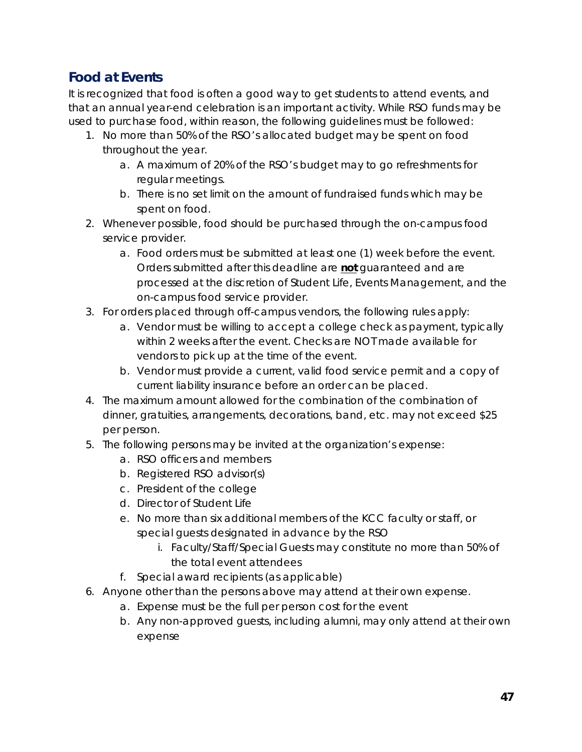# <span id="page-46-0"></span>**Food at Events**

It is recognized that food is often a good way to get students to attend events, and that an annual year-end celebration is an important activity. While RSO funds may be used to purchase food, within reason, the following guidelines must be followed:

- 1. No more than 50% of the RSO's allocated budget may be spent on food throughout the year.
	- a. A maximum of 20% of the RSO's budget may to go refreshments for regular meetings.
	- b. There is no set limit on the amount of fundraised funds which may be spent on food.
- 2. Whenever possible, food should be purchased through the on-campus food service provider.
	- a. Food orders must be submitted at least one (1) week before the event. Orders submitted after this deadline are **not** guaranteed and are processed at the discretion of Student Life, Events Management, and the on-campus food service provider.
- 3. For orders placed through off-campus vendors, the following rules apply:
	- a. Vendor must be willing to accept a college check as payment, typically within 2 weeks after the event. Checks are NOT made available for vendors to pick up at the time of the event.
	- b. Vendor must provide a current, valid food service permit and a copy of current liability insurance before an order can be placed.
- 4. The maximum amount allowed for the combination of the combination of dinner, gratuities, arrangements, decorations, band, etc. may not exceed \$25 per person.
- 5. The following persons may be invited at the organization's expense:
	- a. RSO officers and members
	- b. Registered RSO advisor(s)
	- c. President of the college
	- d. Director of Student Life
	- e. No more than six additional members of the KCC faculty or staff, or special guests designated in advance by the RSO
		- i. Faculty/Staff/Special Guests may constitute no more than 50% of the total event attendees
	- f. Special award recipients (as applicable)
- 6. Anyone other than the persons above may attend at their own expense.
	- a. Expense must be the full per person cost for the event
	- b. Any non-approved guests, including alumni, may only attend at their own expense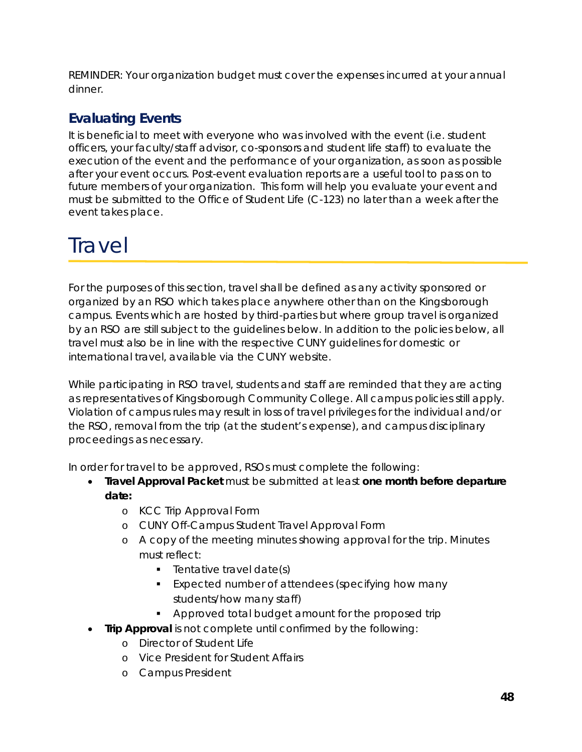REMINDER: Your organization budget must cover the expenses incurred at your annual dinner.

# <span id="page-47-0"></span>**Evaluating Events**

It is beneficial to meet with everyone who was involved with the event (i.e. student officers, your faculty/staff advisor, co-sponsors and student life staff) to evaluate the execution of the event and the performance of your organization, as soon as possible after your event occurs. Post-event evaluation reports are a useful tool to pass on to future members of your organization. This form will help you evaluate your event and must be submitted to the Office of Student Life (C-123) no later than a week after the event takes place.

# <span id="page-47-1"></span>**Travel**

For the purposes of this section, travel shall be defined as any activity sponsored or organized by an RSO which takes place anywhere other than on the Kingsborough campus. Events which are hosted by third-parties but where group travel is organized by an RSO are still subject to the guidelines below. In addition to the policies below, all travel must also be in line with the respective CUNY guidelines for domestic or international travel, available via the CUNY website.

While participating in RSO travel, students and staff are reminded that they are acting as representatives of Kingsborough Community College. All campus policies still apply. Violation of campus rules may result in loss of travel privileges for the individual and/or the RSO, removal from the trip (at the student's expense), and campus disciplinary proceedings as necessary.

In order for travel to be approved, RSOs must complete the following:

- **Travel Approval Packet** must be submitted at least **one month before departure date:**
	- o KCC Trip Approval Form
	- o CUNY Off-Campus Student Travel Approval Form
	- o A copy of the meeting minutes showing approval for the trip. Minutes must reflect:
		- $\blacksquare$  Tentative travel date(s)
		- **Expected number of attendees (specifying how many** students/how many staff)
		- **Approved total budget amount for the proposed trip**
- **Trip Approval** is not complete until confirmed by the following:
	- o Director of Student Life
	- o Vice President for Student Affairs
	- o Campus President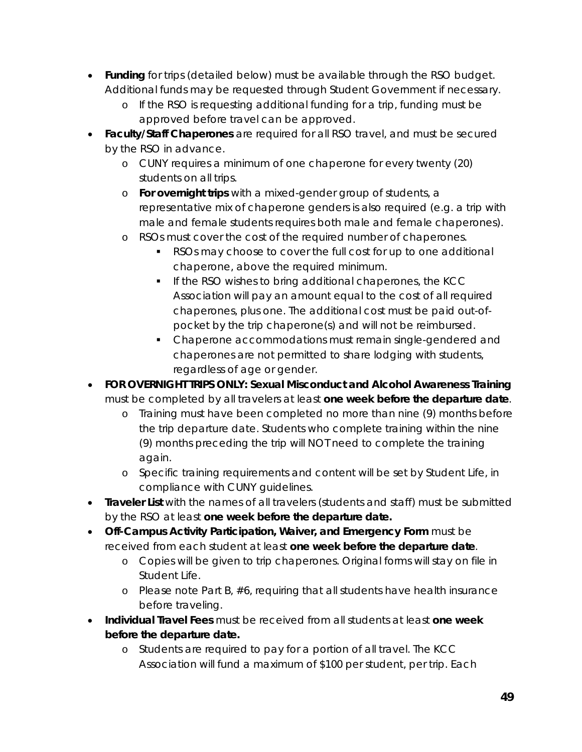- **Funding** for trips (detailed below) must be available through the RSO budget. Additional funds may be requested through Student Government if necessary.
	- o If the RSO is requesting additional funding for a trip, funding must be approved before travel can be approved.
- **Faculty/Staff Chaperones** are required for all RSO travel, and must be secured by the RSO in advance.
	- o CUNY requires a minimum of one chaperone for every twenty (20) students on all trips.
	- o **For overnight trips** with a mixed-gender group of students, a representative mix of chaperone genders is also required (e.g. a trip with male and female students requires both male and female chaperones).
	- o RSOs must cover the cost of the required number of chaperones.
		- RSOs may choose to cover the full cost for up to one additional chaperone, above the required minimum.
		- **If the RSO wishes to bring additional chaperones, the KCC** Association will pay an amount equal to the cost of all required chaperones, plus one. The additional cost must be paid out-ofpocket by the trip chaperone(s) and will not be reimbursed.
		- Chaperone accommodations must remain single-gendered and chaperones are not permitted to share lodging with students, regardless of age or gender.
- **FOR OVERNIGHT TRIPS ONLY: Sexual Misconduct and Alcohol Awareness Training** must be completed by all travelers at least **one week before the departure date**.
	- o Training must have been completed no more than nine (9) months before the trip departure date. Students who complete training within the nine (9) months preceding the trip will NOT need to complete the training again.
	- o Specific training requirements and content will be set by Student Life, in compliance with CUNY guidelines.
- **Traveler List** with the names of all travelers (students and staff) must be submitted by the RSO at least **one week before the departure date.**
- **Off-Campus Activity Participation, Waiver, and Emergency Form** must be received from each student at least **one week before the departure date**.
	- o Copies will be given to trip chaperones. Original forms will stay on file in Student Life.
	- o Please note Part B, #6, requiring that all students have health insurance before traveling.
- **Individual Travel Fees** must be received from all students at least **one week before the departure date.**
	- o Students are required to pay for a portion of all travel. The KCC Association will fund a maximum of \$100 per student, per trip. Each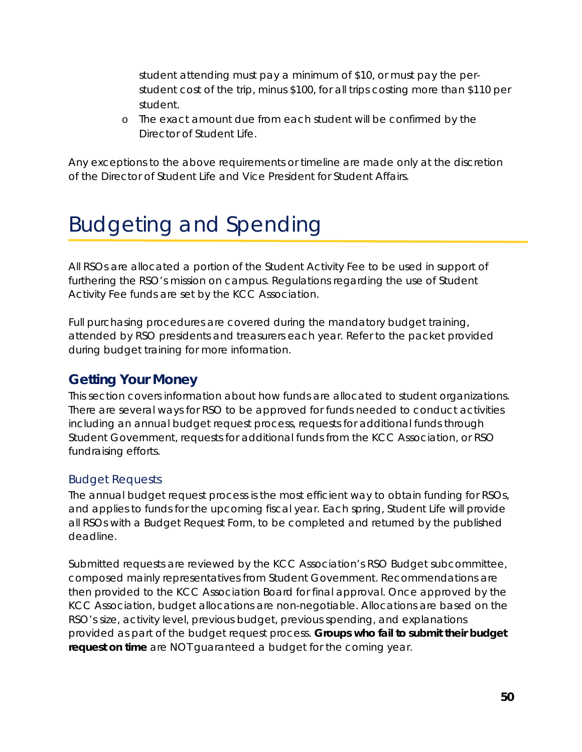student attending must pay a minimum of \$10, or must pay the perstudent cost of the trip, minus \$100, for all trips costing more than \$110 per student.

o The exact amount due from each student will be confirmed by the Director of Student Life.

Any exceptions to the above requirements or timeline are made only at the discretion of the Director of Student Life and Vice President for Student Affairs.

# <span id="page-49-0"></span>Budgeting and Spending

All RSOs are allocated a portion of the Student Activity Fee to be used in support of furthering the RSO's mission on campus. Regulations regarding the use of Student Activity Fee funds are set by the KCC Association.

Full purchasing procedures are covered during the mandatory budget training, attended by RSO presidents and treasurers each year. Refer to the packet provided during budget training for more information.

# <span id="page-49-1"></span>**Getting Your Money**

This section covers information about how funds are allocated to student organizations. There are several ways for RSO to be approved for funds needed to conduct activities including an annual budget request process, requests for additional funds through Student Government, requests for additional funds from the KCC Association, or RSO fundraising efforts.

#### <span id="page-49-2"></span>Budget Requests

The annual budget request process is the most efficient way to obtain funding for RSOs, and applies to funds for the upcoming fiscal year. Each spring, Student Life will provide all RSOs with a Budget Request Form, to be completed and returned by the published deadline.

Submitted requests are reviewed by the KCC Association's RSO Budget subcommittee, composed mainly representatives from Student Government. Recommendations are then provided to the KCC Association Board for final approval. Once approved by the KCC Association, budget allocations are non-negotiable. Allocations are based on the RSO's size, activity level, previous budget, previous spending, and explanations provided as part of the budget request process. **Groups who fail to submit their budget request on time** are NOT guaranteed a budget for the coming year.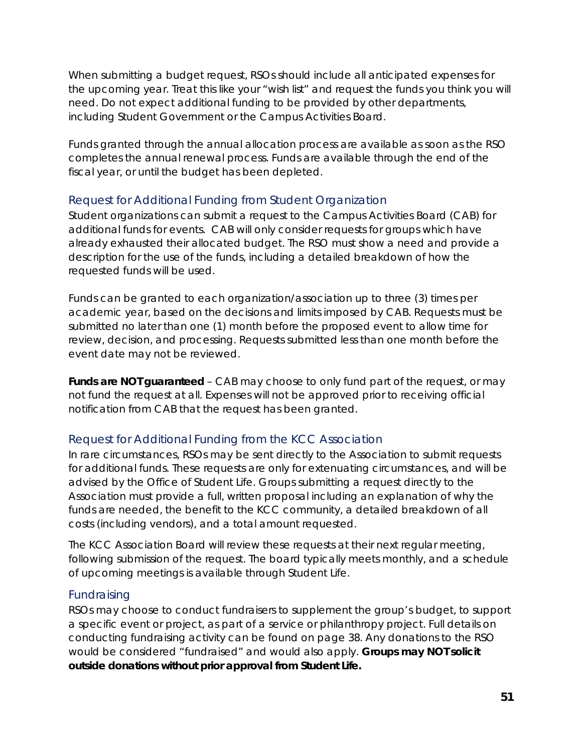When submitting a budget request, RSOs should include all anticipated expenses for the upcoming year. Treat this like your "wish list" and request the funds you think you will need. Do not expect additional funding to be provided by other departments, including Student Government or the Campus Activities Board.

Funds granted through the annual allocation process are available as soon as the RSO completes the annual renewal process. Funds are available through the end of the fiscal year, or until the budget has been depleted.

#### <span id="page-50-0"></span>Request for Additional Funding from Student Organization

Student organizations can submit a request to the Campus Activities Board (CAB) for additional funds for events. CAB will only consider requests for groups which have already exhausted their allocated budget. The RSO must show a need and provide a description for the use of the funds, including a detailed breakdown of how the requested funds will be used.

Funds can be granted to each organization/association up to three (3) times per academic year, based on the decisions and limits imposed by CAB. Requests must be submitted no later than one (1) month before the proposed event to allow time for review, decision, and processing. Requests submitted less than one month before the event date may not be reviewed.

*Funds are NOT guaranteed – CAB may choose to only fund part of the request, or may not fund the request at all.* Expenses will not be approved prior to receiving official notification from CAB that the request has been granted.

#### <span id="page-50-1"></span>Request for Additional Funding from the KCC Association

In rare circumstances, RSOs may be sent directly to the Association to submit requests for additional funds. These requests are only for extenuating circumstances, and will be advised by the Office of Student Life. Groups submitting a request directly to the Association must provide a full, written proposal including an explanation of why the funds are needed, the benefit to the KCC community, a detailed breakdown of all costs (including vendors), and a total amount requested.

The KCC Association Board will review these requests at their next regular meeting, following submission of the request. The board typically meets monthly, and a schedule of upcoming meetings is available through Student Life.

#### <span id="page-50-2"></span>Fundraising

RSOs may choose to conduct fundraisers to supplement the group's budget, to support a specific event or project, as part of a service or philanthropy project. Full details on conducting fundraising activity can be found on page [38.](#page-37-2) Any donations to the RSO would be considered "fundraised" and would also apply. *Groups may NOT solicit outside donations without prior approval from Student Life.*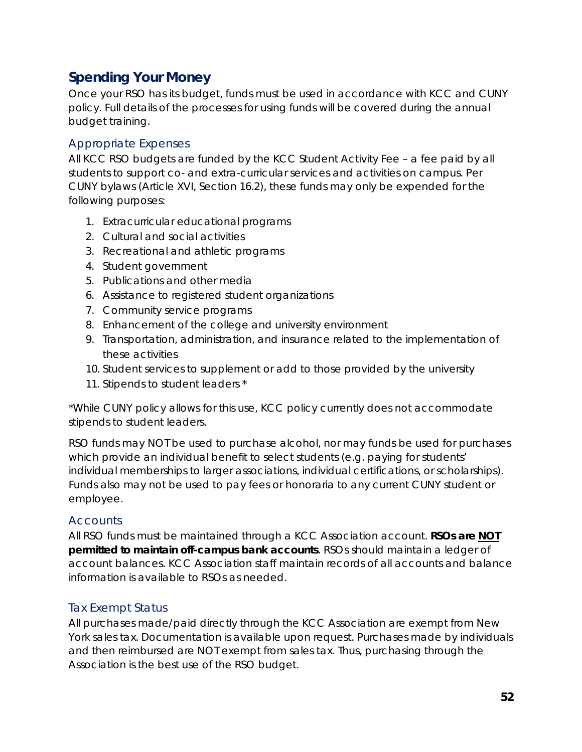# <span id="page-51-0"></span>**Spending Your Money**

Once your RSO has its budget, funds must be used in accordance with KCC and CUNY policy. Full details of the processes for using funds will be covered during the annual budget training.

#### <span id="page-51-1"></span>Appropriate Expenses

All KCC RSO budgets are funded by the KCC Student Activity Fee – a fee paid by all students to support co- and extra-curricular services and activities on campus. Per CUNY bylaws (Article XVI, Section 16.2), these funds may only be expended for the following purposes:

- 1. Extracurricular educational programs
- 2. Cultural and social activities
- 3. Recreational and athletic programs
- 4. Student government
- 5. Publications and other media
- 6. Assistance to registered student organizations
- 7. Community service programs
- 8. Enhancement of the college and university environment
- 9. Transportation, administration, and insurance related to the implementation of these activities
- 10. Student services to supplement or add to those provided by the university
- 11. Stipends to student leaders \*

*\*While CUNY policy allows for this use, KCC policy currently does not accommodate stipends to student leaders.*

RSO funds may NOT be used to purchase alcohol, nor may funds be used for purchases which provide an individual benefit to select students (e.g. paying for students' individual memberships to larger associations, individual certifications, or scholarships). Funds also may not be used to pay fees or honoraria to any current CUNY student or employee.

#### <span id="page-51-2"></span>**Accounts**

All RSO funds must be maintained through a KCC Association account. *RSOs are NOT permitted to maintain off-campus bank accounts*. RSOs should maintain a ledger of account balances. KCC Association staff maintain records of all accounts and balance information is available to RSOs as needed.

#### <span id="page-51-3"></span>Tax Exempt Status

All purchases made/paid directly through the KCC Association are exempt from New York sales tax. Documentation is available upon request. Purchases made by individuals and then reimbursed are NOT exempt from sales tax. Thus, purchasing through the Association is the best use of the RSO budget.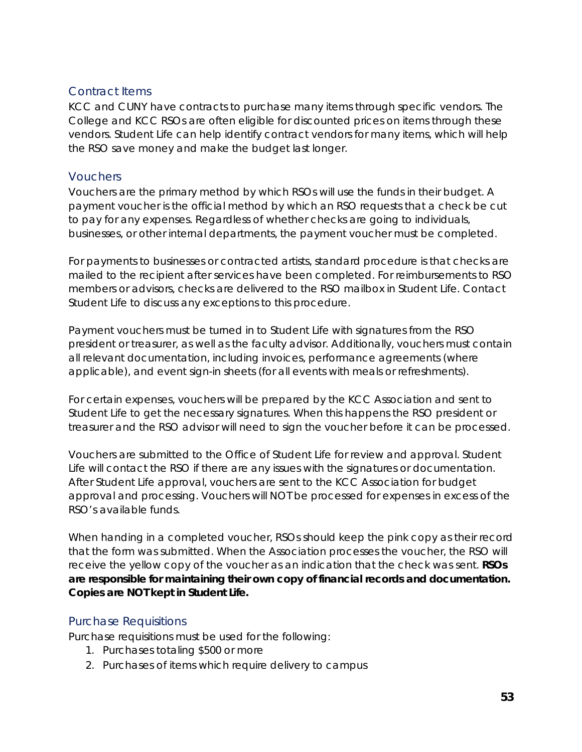#### <span id="page-52-0"></span>Contract Items

KCC and CUNY have contracts to purchase many items through specific vendors. The College and KCC RSOs are often eligible for discounted prices on items through these vendors. Student Life can help identify contract vendors for many items, which will help the RSO save money and make the budget last longer.

#### <span id="page-52-1"></span>**Vouchers**

Vouchers are the primary method by which RSOs will use the funds in their budget. A payment voucher is the official method by which an RSO requests that a check be cut to pay for any expenses. Regardless of whether checks are going to individuals, businesses, or other internal departments, the payment voucher must be completed.

For payments to businesses or contracted artists, standard procedure is that checks are mailed to the recipient after services have been completed. For reimbursements to RSO members or advisors, checks are delivered to the RSO mailbox in Student Life. Contact Student Life to discuss any exceptions to this procedure.

Payment vouchers must be turned in to Student Life with signatures from the RSO president or treasurer, as well as the faculty advisor. Additionally, vouchers must contain all relevant documentation, including invoices, performance agreements (where applicable), and event sign-in sheets (for all events with meals or refreshments).

For certain expenses, vouchers will be prepared by the KCC Association and sent to Student Life to get the necessary signatures. When this happens the RSO president or treasurer and the RSO advisor will need to sign the voucher before it can be processed.

Vouchers are submitted to the Office of Student Life for review and approval. Student Life will contact the RSO if there are any issues with the signatures or documentation. After Student Life approval, vouchers are sent to the KCC Association for budget approval and processing. Vouchers will NOT be processed for expenses in excess of the RSO's available funds.

When handing in a completed voucher, RSOs should keep the pink copy as their record that the form was submitted. When the Association processes the voucher, the RSO will receive the yellow copy of the voucher as an indication that the check was sent. *RSOs are responsible for maintaining their own copy of financial records and documentation. Copies are NOT kept in Student Life.*

#### <span id="page-52-2"></span>Purchase Requisitions

Purchase requisitions must be used for the following:

- 1. Purchases totaling \$500 or more
- 2. Purchases of items which require delivery to campus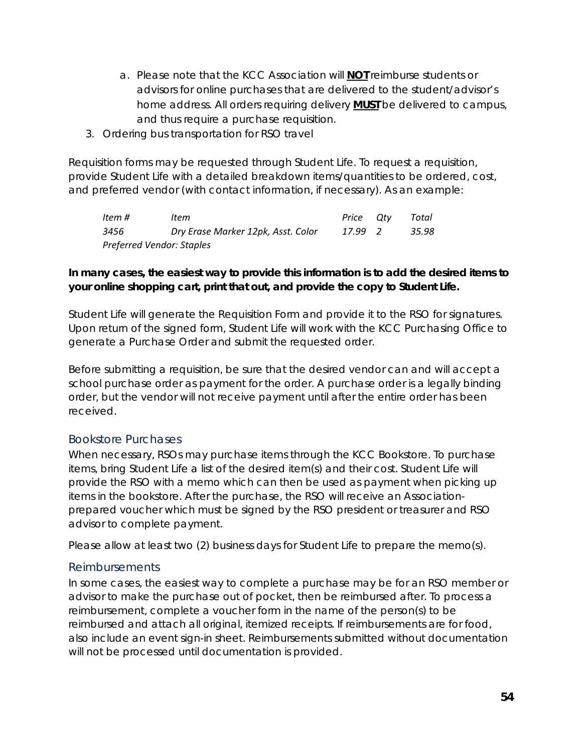- a. Please note that the KCC Association will **NOT** reimburse students or advisors for online purchases that are delivered to the student/advisor's home address. All orders requiring delivery **MUST** be delivered to campus, and thus require a purchase requisition.
- 3. Ordering bus transportation for RSO travel

Requisition forms may be requested through Student Life. To request a requisition, provide Student Life with a detailed breakdown items/quantities to be ordered, cost, and preferred vendor (with contact information, if necessary). As an example:

| Item #                    | Item                               | Price Otv | Total |
|---------------------------|------------------------------------|-----------|-------|
| 3456                      | Dry Erase Marker 12pk, Asst. Color | 17.99 2   | 35.98 |
| Preferred Vendor: Staples |                                    |           |       |

#### *In many cases, the easiest way to provide this information is to add the desired items to your online shopping cart, print that out, and provide the copy to Student Life.*

Student Life will generate the Requisition Form and provide it to the RSO for signatures. Upon return of the signed form, Student Life will work with the KCC Purchasing Office to generate a Purchase Order and submit the requested order.

Before submitting a requisition, be sure that the desired vendor can and will accept a school purchase order as payment for the order. A purchase order is a legally binding order, but the vendor will not receive payment until after the entire order has been received.

#### <span id="page-53-0"></span>Bookstore Purchases

When necessary, RSOs may purchase items through the KCC Bookstore. To purchase items, bring Student Life a list of the desired item(s) and their cost. Student Life will provide the RSO with a memo which can then be used as payment when picking up items in the bookstore. After the purchase, the RSO will receive an Associationprepared voucher which must be signed by the RSO president or treasurer and RSO advisor to complete payment.

Please allow at least two (2) business days for Student Life to prepare the memo(s).

#### <span id="page-53-1"></span>Reimbursements

In some cases, the easiest way to complete a purchase may be for an RSO member or advisor to make the purchase out of pocket, then be reimbursed after. To process a reimbursement, complete a voucher form in the name of the person(s) to be reimbursed and attach all original, itemized receipts. If reimbursements are for food, also include an event sign-in sheet. Reimbursements submitted without documentation will not be processed until documentation is provided.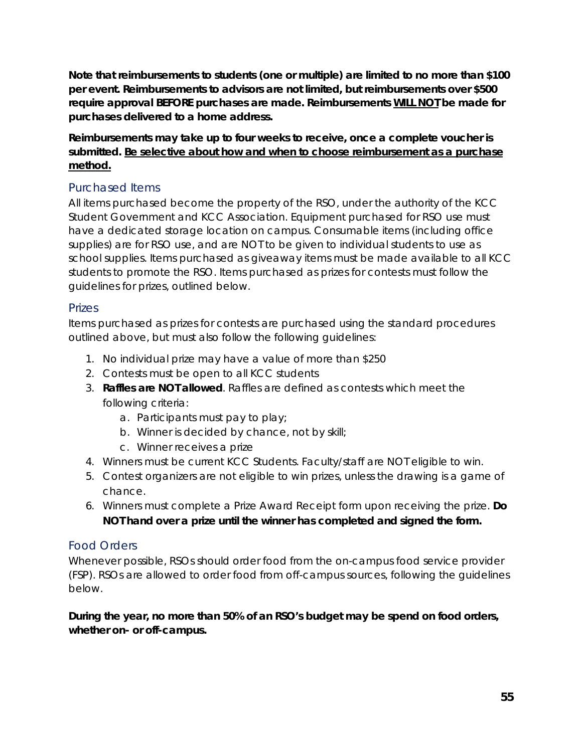**Note that reimbursements to students (one or multiple) are limited to no more than \$100 per event. Reimbursements to advisors are not limited, but reimbursements over \$500 require approval BEFORE purchases are made. Reimbursements WILL NOT be made for purchases delivered to a home address.**

#### **Reimbursements may take up to four weeks to receive, once a complete voucher is submitted. Be selective about how and when to choose reimbursement as a purchase method.**

#### <span id="page-54-0"></span>Purchased Items

All items purchased become the property of the RSO, under the authority of the KCC Student Government and KCC Association. Equipment purchased for RSO use must have a dedicated storage location on campus. Consumable items (including office supplies) are for RSO use, and are NOT to be given to individual students to use as school supplies. Items purchased as giveaway items must be made available to all KCC students to promote the RSO. Items purchased as prizes for contests must follow the guidelines for prizes, outlined below.

#### <span id="page-54-1"></span>Prizes

Items purchased as prizes for contests are purchased using the standard procedures outlined above, but must also follow the following guidelines:

- 1. No individual prize may have a value of more than \$250
- 2. Contests must be open to all KCC students
- 3. **Raffles are NOT allowed**. Raffles are defined as contests which meet the following criteria:
	- a. Participants must pay to play;
	- b. Winner is decided by chance, not by skill;
	- c. Winner receives a prize
- 4. Winners must be current KCC Students. Faculty/staff are NOT eligible to win.
- 5. Contest organizers are not eligible to win prizes, unless the drawing is a game of chance.
- 6. Winners must complete a Prize Award Receipt form upon receiving the prize. *Do NOT hand over a prize until the winner has completed and signed the form.*

#### <span id="page-54-2"></span>Food Orders

Whenever possible, RSOs should order food from the on-campus food service provider (FSP). RSOs are allowed to order food from off-campus sources, following the guidelines below.

#### *During the year, no more than 50% of an RSO's budget may be spend on food orders, whether on- or off-campus.*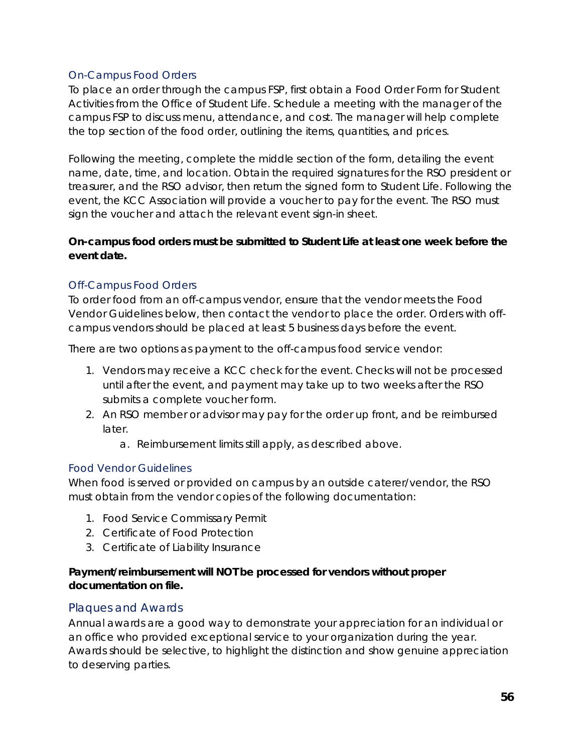#### *On-Campus Food Orders*

To place an order through the campus FSP, first obtain a Food Order Form for Student Activities from the Office of Student Life. Schedule a meeting with the manager of the campus FSP to discuss menu, attendance, and cost. The manager will help complete the top section of the food order, outlining the items, quantities, and prices.

Following the meeting, complete the middle section of the form, detailing the event name, date, time, and location. Obtain the required signatures for the RSO president or treasurer, and the RSO advisor, then return the signed form to Student Life. Following the event, the KCC Association will provide a voucher to pay for the event. The RSO must sign the voucher and attach the relevant event sign-in sheet.

#### **On-campus food orders must be submitted to Student Life at least one week before the event date.**

#### *Off-Campus Food Orders*

To order food from an off-campus vendor, ensure that the vendor meets the Food Vendor Guidelines below, then contact the vendor to place the order. Orders with offcampus vendors should be placed at least 5 business days before the event.

There are two options as payment to the off-campus food service vendor:

- 1. Vendors may receive a KCC check for the event. Checks will not be processed until after the event, and payment may take up to two weeks after the RSO submits a complete voucher form.
- 2. An RSO member or advisor may pay for the order up front, and be reimbursed later.
	- a. Reimbursement limits still apply, as described above.

#### *Food Vendor Guidelines*

When food is served or provided on campus by an outside caterer/vendor, the RSO must obtain from the vendor copies of the following documentation:

- 1. Food Service Commissary Permit
- 2. Certificate of Food Protection
- 3. Certificate of Liability Insurance

#### *Payment/reimbursement will NOT be processed for vendors without proper documentation on file.*

#### <span id="page-55-0"></span>Plaques and Awards

Annual awards are a good way to demonstrate your appreciation for an individual or an office who provided exceptional service to your organization during the year. Awards should be selective, to highlight the distinction and show genuine appreciation to deserving parties.